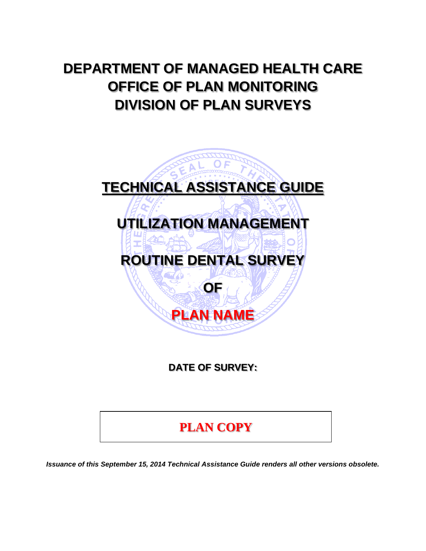# **DEPARTMENT OF MANAGED HEALTH CARE OFFICE OF PLAN MONITORING DIVISION OF PLAN SURVEYS**



**DATE OF SURVEY:** 

**PLAN COPY**

*Issuance of this September 15, 2014 Technical Assistance Guide renders all other versions obsolete.*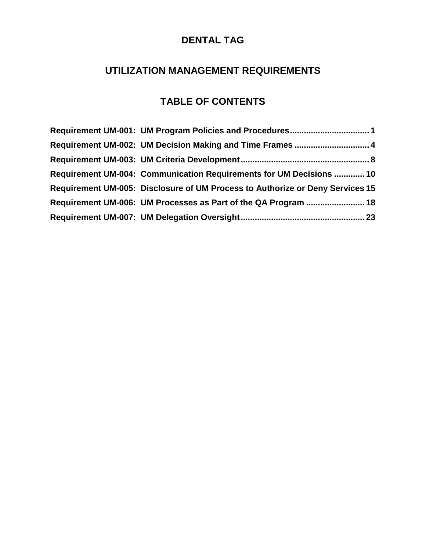# **DENTAL TAG**

# **UTILIZATION MANAGEMENT REQUIREMENTS**

# **TABLE OF CONTENTS**

| Requirement UM-001: UM Program Policies and Procedures 1                      |
|-------------------------------------------------------------------------------|
| Requirement UM-002: UM Decision Making and Time Frames  4                     |
|                                                                               |
| Requirement UM-004: Communication Requirements for UM Decisions  10           |
| Requirement UM-005: Disclosure of UM Process to Authorize or Deny Services 15 |
| Requirement UM-006: UM Processes as Part of the QA Program  18                |
|                                                                               |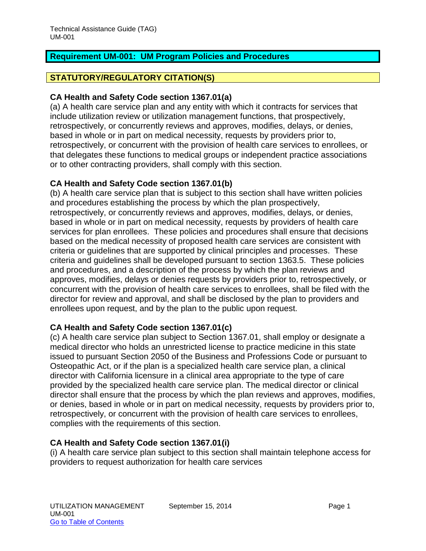# <span id="page-2-0"></span>**Requirement UM-001: UM Program Policies and Procedures**

## **STATUTORY/REGULATORY CITATION(S)**

#### **CA Health and Safety Code section 1367.01(a)**

(a) A health care service plan and any entity with which it contracts for services that include utilization review or utilization management functions, that prospectively, retrospectively, or concurrently reviews and approves, modifies, delays, or denies, based in whole or in part on medical necessity, requests by providers prior to, retrospectively, or concurrent with the provision of health care services to enrollees, or that delegates these functions to medical groups or independent practice associations or to other contracting providers, shall comply with this section.

# **CA Health and Safety Code section 1367.01(b)**

(b) A health care service plan that is subject to this section shall have written policies and procedures establishing the process by which the plan prospectively, retrospectively, or concurrently reviews and approves, modifies, delays, or denies, based in whole or in part on medical necessity, requests by providers of health care services for plan enrollees. These policies and procedures shall ensure that decisions based on the medical necessity of proposed health care services are consistent with criteria or guidelines that are supported by clinical principles and processes. These criteria and guidelines shall be developed pursuant to section 1363.5. These policies and procedures, and a description of the process by which the plan reviews and approves, modifies, delays or denies requests by providers prior to, retrospectively, or concurrent with the provision of health care services to enrollees, shall be filed with the director for review and approval, and shall be disclosed by the plan to providers and enrollees upon request, and by the plan to the public upon request.

#### **CA Health and Safety Code section 1367.01(c)**

(c) A health care service plan subject to Section 1367.01, shall employ or designate a medical director who holds an unrestricted license to practice medicine in this state issued to pursuant Section 2050 of the Business and Professions Code or pursuant to Osteopathic Act, or if the plan is a specialized health care service plan, a clinical director with California licensure in a clinical area appropriate to the type of care provided by the specialized health care service plan. The medical director or clinical director shall ensure that the process by which the plan reviews and approves, modifies, or denies, based in whole or in part on medical necessity, requests by providers prior to, retrospectively, or concurrent with the provision of health care services to enrollees, complies with the requirements of this section.

#### **CA Health and Safety Code section 1367.01(i)**

(i) A health care service plan subject to this section shall maintain telephone access for providers to request authorization for health care services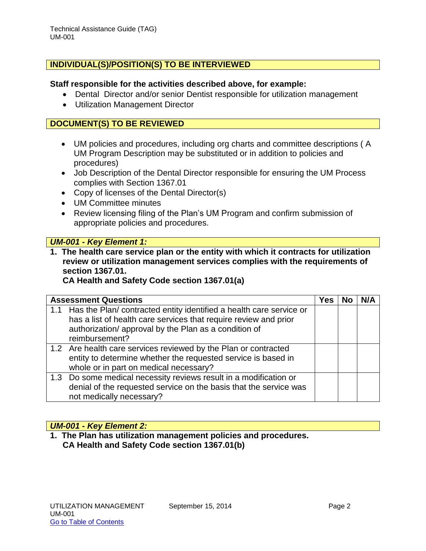## **INDIVIDUAL(S)/POSITION(S) TO BE INTERVIEWED**

#### **Staff responsible for the activities described above, for example:**

- Dental Director and/or senior Dentist responsible for utilization management
- Utilization Management Director

#### **DOCUMENT(S) TO BE REVIEWED**

- UM policies and procedures, including org charts and committee descriptions ( A UM Program Description may be substituted or in addition to policies and procedures)
- Job Description of the Dental Director responsible for ensuring the UM Process complies with Section 1367.01
- Copy of licenses of the Dental Director(s)
- UM Committee minutes
- Review licensing filing of the Plan's UM Program and confirm submission of appropriate policies and procedures.

#### *UM-001 - Key Element 1:*

**1. The health care service plan or the entity with which it contracts for utilization review or utilization management services complies with the requirements of section 1367.01.** 

#### **CA Health and Safety Code section 1367.01(a)**

| <b>Assessment Questions</b>                                                                                                                                                                                            | Yes | N/A |
|------------------------------------------------------------------------------------------------------------------------------------------------------------------------------------------------------------------------|-----|-----|
| 1.1 Has the Plan/ contracted entity identified a health care service or<br>has a list of health care services that require review and prior<br>authorization/ approval by the Plan as a condition of<br>reimbursement? |     |     |
| 1.2 Are health care services reviewed by the Plan or contracted<br>entity to determine whether the requested service is based in<br>whole or in part on medical necessary?                                             |     |     |
| 1.3 Do some medical necessity reviews result in a modification or<br>denial of the requested service on the basis that the service was<br>not medically necessary?                                                     |     |     |

#### *UM-001 - Key Element 2:*

**1. The Plan has utilization management policies and procedures. CA Health and Safety Code section 1367.01(b)**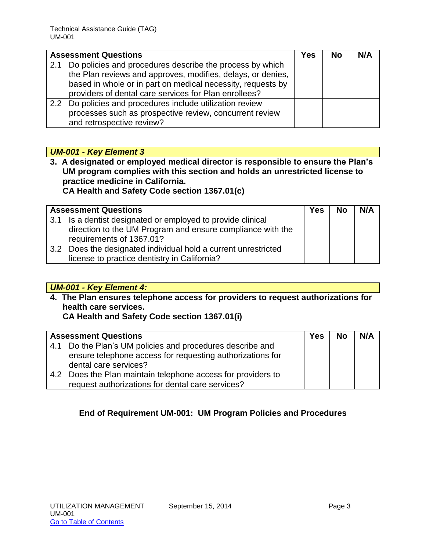|     | <b>Assessment Questions</b>                                 |  | <b>No</b> | N/A |
|-----|-------------------------------------------------------------|--|-----------|-----|
| 2.1 | Do policies and procedures describe the process by which    |  |           |     |
|     | the Plan reviews and approves, modifies, delays, or denies, |  |           |     |
|     | based in whole or in part on medical necessity, requests by |  |           |     |
|     | providers of dental care services for Plan enrollees?       |  |           |     |
|     | 2.2 Do policies and procedures include utilization review   |  |           |     |
|     | processes such as prospective review, concurrent review     |  |           |     |
|     | and retrospective review?                                   |  |           |     |

# *UM-001 - Key Element 3*

**3. A designated or employed medical director is responsible to ensure the Plan's UM program complies with this section and holds an unrestricted license to practice medicine in California. CA Health and Safety Code section 1367.01(c)**

|     | <b>Assessment Questions</b>                                                            | Yes | <b>No</b> | N/A |
|-----|----------------------------------------------------------------------------------------|-----|-----------|-----|
| 3.1 | Is a dentist designated or employed to provide clinical                                |     |           |     |
|     | direction to the UM Program and ensure compliance with the<br>requirements of 1367.01? |     |           |     |
| 3.2 | Does the designated individual hold a current unrestricted                             |     |           |     |
|     | license to practice dentistry in California?                                           |     |           |     |

# *UM-001 - Key Element 4:*

**4. The Plan ensures telephone access for providers to request authorizations for health care services. CA Health and Safety Code section 1367.01(i)**

|     | <b>Assessment Questions</b>                               | Yes | <b>No</b> | N/A |
|-----|-----------------------------------------------------------|-----|-----------|-----|
| 4.1 | Do the Plan's UM policies and procedures describe and     |     |           |     |
|     | ensure telephone access for requesting authorizations for |     |           |     |
|     | dental care services?                                     |     |           |     |
| 4.2 | Does the Plan maintain telephone access for providers to  |     |           |     |
|     | request authorizations for dental care services?          |     |           |     |

# **End of Requirement UM-001: UM Program Policies and Procedures**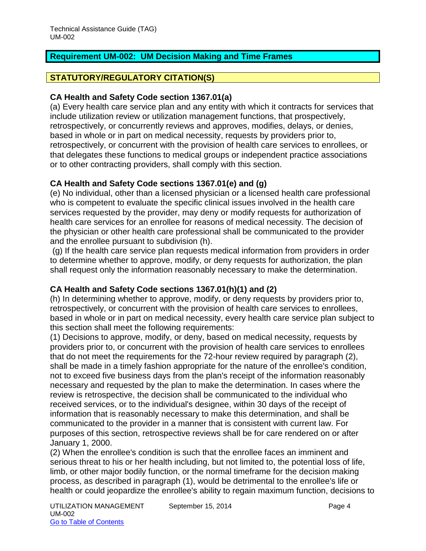# <span id="page-5-0"></span>**Requirement UM-002: UM Decision Making and Time Frames**

# **STATUTORY/REGULATORY CITATION(S)**

#### **CA Health and Safety Code section 1367.01(a)**

(a) Every health care service plan and any entity with which it contracts for services that include utilization review or utilization management functions, that prospectively, retrospectively, or concurrently reviews and approves, modifies, delays, or denies, based in whole or in part on medical necessity, requests by providers prior to, retrospectively, or concurrent with the provision of health care services to enrollees, or that delegates these functions to medical groups or independent practice associations or to other contracting providers, shall comply with this section.

# **CA Health and Safety Code sections 1367.01(e) and (g)**

(e) No individual, other than a licensed physician or a licensed health care professional who is competent to evaluate the specific clinical issues involved in the health care services requested by the provider, may deny or modify requests for authorization of health care services for an enrollee for reasons of medical necessity. The decision of the physician or other health care professional shall be communicated to the provider and the enrollee pursuant to subdivision (h).

(g) If the health care service plan requests medical information from providers in order to determine whether to approve, modify, or deny requests for authorization, the plan shall request only the information reasonably necessary to make the determination.

# **CA Health and Safety Code sections 1367.01(h)(1) and (2)**

(h) In determining whether to approve, modify, or deny requests by providers prior to, retrospectively, or concurrent with the provision of health care services to enrollees, based in whole or in part on medical necessity, every health care service plan subject to this section shall meet the following requirements:

(1) Decisions to approve, modify, or deny, based on medical necessity, requests by providers prior to, or concurrent with the provision of health care services to enrollees that do not meet the requirements for the 72-hour review required by paragraph (2), shall be made in a timely fashion appropriate for the nature of the enrollee's condition, not to exceed five business days from the plan's receipt of the information reasonably necessary and requested by the plan to make the determination. In cases where the review is retrospective, the decision shall be communicated to the individual who received services, or to the individual's designee, within 30 days of the receipt of information that is reasonably necessary to make this determination, and shall be communicated to the provider in a manner that is consistent with current law. For purposes of this section, retrospective reviews shall be for care rendered on or after January 1, 2000.

(2) When the enrollee's condition is such that the enrollee faces an imminent and serious threat to his or her health including, but not limited to, the potential loss of life, limb, or other major bodily function, or the normal timeframe for the decision making process, as described in paragraph (1), would be detrimental to the enrollee's life or health or could jeopardize the enrollee's ability to regain maximum function, decisions to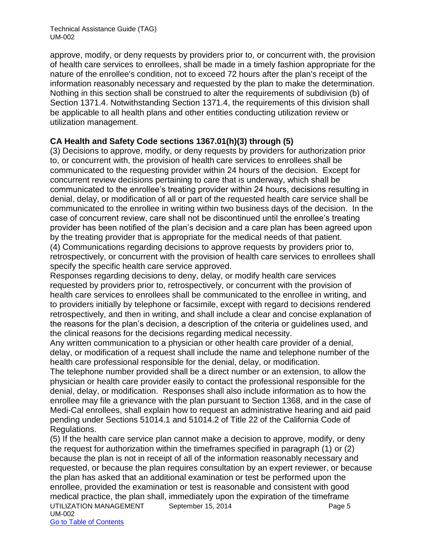approve, modify, or deny requests by providers prior to, or concurrent with, the provision of health care services to enrollees, shall be made in a timely fashion appropriate for the nature of the enrollee's condition, not to exceed 72 hours after the plan's receipt of the information reasonably necessary and requested by the plan to make the determination. Nothing in this section shall be construed to alter the requirements of subdivision (b) of Section 1371.4. Notwithstanding Section 1371.4, the requirements of this division shall be applicable to all health plans and other entities conducting utilization review or utilization management.

# **CA Health and Safety Code sections 1367.01(h)(3) through (5)**

(3) Decisions to approve, modify, or deny requests by providers for authorization prior to, or concurrent with, the provision of health care services to enrollees shall be communicated to the requesting provider within 24 hours of the decision. Except for concurrent review decisions pertaining to care that is underway, which shall be communicated to the enrollee's treating provider within 24 hours, decisions resulting in denial, delay, or modification of all or part of the requested health care service shall be communicated to the enrollee in writing within two business days of the decision. In the case of concurrent review, care shall not be discontinued until the enrollee's treating provider has been notified of the plan's decision and a care plan has been agreed upon by the treating provider that is appropriate for the medical needs of that patient.

(4) Communications regarding decisions to approve requests by providers prior to, retrospectively, or concurrent with the provision of health care services to enrollees shall specify the specific health care service approved.

Responses regarding decisions to deny, delay, or modify health care services requested by providers prior to, retrospectively, or concurrent with the provision of health care services to enrollees shall be communicated to the enrollee in writing, and to providers initially by telephone or facsimile, except with regard to decisions rendered retrospectively, and then in writing, and shall include a clear and concise explanation of the reasons for the plan's decision, a description of the criteria or guidelines used, and the clinical reasons for the decisions regarding medical necessity.

Any written communication to a physician or other health care provider of a denial, delay, or modification of a request shall include the name and telephone number of the health care professional responsible for the denial, delay, or modification.

The telephone number provided shall be a direct number or an extension, to allow the physician or health care provider easily to contact the professional responsible for the denial, delay, or modification. Responses shall also include information as to how the enrollee may file a grievance with the plan pursuant to Section 1368, and in the case of Medi-Cal enrollees, shall explain how to request an administrative hearing and aid paid pending under Sections 51014.1 and 51014.2 of Title 22 of the California Code of Regulations.

UTILIZATION MANAGEMENT September 15, 2014 **Page 5** UM-002 Go to Table of Contents (5) If the health care service plan cannot make a decision to approve, modify, or deny the request for authorization within the timeframes specified in paragraph (1) or (2) because the plan is not in receipt of all of the information reasonably necessary and requested, or because the plan requires consultation by an expert reviewer, or because the plan has asked that an additional examination or test be performed upon the enrollee, provided the examination or test is reasonable and consistent with good medical practice, the plan shall, immediately upon the expiration of the timeframe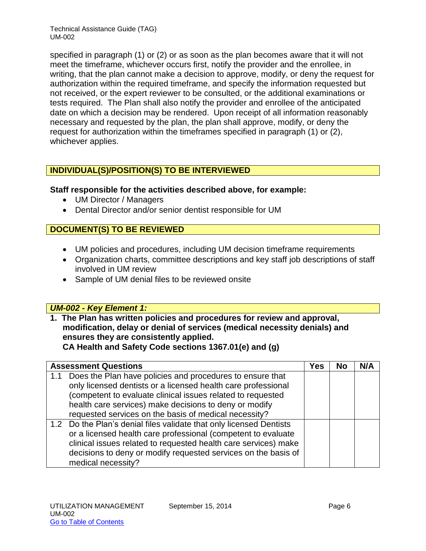specified in paragraph (1) or (2) or as soon as the plan becomes aware that it will not meet the timeframe, whichever occurs first, notify the provider and the enrollee, in writing, that the plan cannot make a decision to approve, modify, or deny the request for authorization within the required timeframe, and specify the information requested but not received, or the expert reviewer to be consulted, or the additional examinations or tests required. The Plan shall also notify the provider and enrollee of the anticipated date on which a decision may be rendered. Upon receipt of all information reasonably necessary and requested by the plan, the plan shall approve, modify, or deny the request for authorization within the timeframes specified in paragraph (1) or (2), whichever applies.

# **INDIVIDUAL(S)/POSITION(S) TO BE INTERVIEWED**

# **Staff responsible for the activities described above, for example:**

- UM Director / Managers
- Dental Director and/or senior dentist responsible for UM

# **DOCUMENT(S) TO BE REVIEWED**

- UM policies and procedures, including UM decision timeframe requirements
- Organization charts, committee descriptions and key staff job descriptions of staff involved in UM review
- Sample of UM denial files to be reviewed onsite

# *UM-002 - Key Element 1:*

**1. The Plan has written policies and procedures for review and approval, modification, delay or denial of services (medical necessity denials) and ensures they are consistently applied. CA Health and Safety Code sections 1367.01(e) and (g)**

|     | <b>Assessment Questions</b>                                                                                                                                                                                                                                                                                  | Yes | No | N/A |
|-----|--------------------------------------------------------------------------------------------------------------------------------------------------------------------------------------------------------------------------------------------------------------------------------------------------------------|-----|----|-----|
| 1.1 | Does the Plan have policies and procedures to ensure that<br>only licensed dentists or a licensed health care professional<br>(competent to evaluate clinical issues related to requested<br>health care services) make decisions to deny or modify<br>requested services on the basis of medical necessity? |     |    |     |
|     | 1.2 Do the Plan's denial files validate that only licensed Dentists<br>or a licensed health care professional (competent to evaluate<br>clinical issues related to requested health care services) make<br>decisions to deny or modify requested services on the basis of<br>medical necessity?              |     |    |     |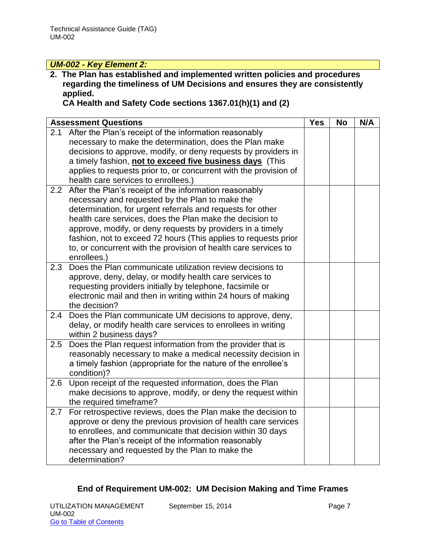# *UM-002 - Key Element 2:*

**2. The Plan has established and implemented written policies and procedures regarding the timeliness of UM Decisions and ensures they are consistently applied.** 

**CA Health and Safety Code sections 1367.01(h)(1) and (2)**

|     | <b>Assessment Questions</b>                                             | <b>Yes</b> | <b>No</b> | N/A |
|-----|-------------------------------------------------------------------------|------------|-----------|-----|
| 2.1 | After the Plan's receipt of the information reasonably                  |            |           |     |
|     | necessary to make the determination, does the Plan make                 |            |           |     |
|     | decisions to approve, modify, or deny requests by providers in          |            |           |     |
|     | a timely fashion, not to exceed five business days (This                |            |           |     |
|     | applies to requests prior to, or concurrent with the provision of       |            |           |     |
|     | health care services to enrollees.)                                     |            |           |     |
| 2.2 | After the Plan's receipt of the information reasonably                  |            |           |     |
|     | necessary and requested by the Plan to make the                         |            |           |     |
|     | determination, for urgent referrals and requests for other              |            |           |     |
|     | health care services, does the Plan make the decision to                |            |           |     |
|     | approve, modify, or deny requests by providers in a timely              |            |           |     |
|     | fashion, not to exceed 72 hours (This applies to requests prior         |            |           |     |
|     | to, or concurrent with the provision of health care services to         |            |           |     |
|     | enrollees.)                                                             |            |           |     |
| 2.3 | Does the Plan communicate utilization review decisions to               |            |           |     |
|     | approve, deny, delay, or modify health care services to                 |            |           |     |
|     | requesting providers initially by telephone, facsimile or               |            |           |     |
|     | electronic mail and then in writing within 24 hours of making           |            |           |     |
|     | the decision?                                                           |            |           |     |
| 2.4 | Does the Plan communicate UM decisions to approve, deny,                |            |           |     |
|     | delay, or modify health care services to enrollees in writing           |            |           |     |
|     | within 2 business days?                                                 |            |           |     |
| 2.5 | Does the Plan request information from the provider that is             |            |           |     |
|     | reasonably necessary to make a medical necessity decision in            |            |           |     |
|     | a timely fashion (appropriate for the nature of the enrollee's          |            |           |     |
| 2.6 | condition)?<br>Upon receipt of the requested information, does the Plan |            |           |     |
|     | make decisions to approve, modify, or deny the request within           |            |           |     |
|     | the required timeframe?                                                 |            |           |     |
| 2.7 | For retrospective reviews, does the Plan make the decision to           |            |           |     |
|     | approve or deny the previous provision of health care services          |            |           |     |
|     | to enrollees, and communicate that decision within 30 days              |            |           |     |
|     | after the Plan's receipt of the information reasonably                  |            |           |     |
|     | necessary and requested by the Plan to make the                         |            |           |     |
|     | determination?                                                          |            |           |     |

# **End of Requirement UM-002: UM Decision Making and Time Frames**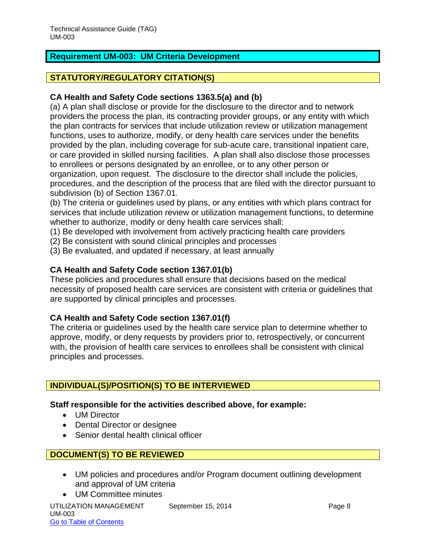# <span id="page-9-0"></span>**Requirement UM-003: UM Criteria Development**

## **STATUTORY/REGULATORY CITATION(S)**

## **CA Health and Safety Code sections 1363.5(a) and (b)**

(a) A plan shall disclose or provide for the disclosure to the director and to network providers the process the plan, its contracting provider groups, or any entity with which the plan contracts for services that include utilization review or utilization management functions, uses to authorize, modify, or deny health care services under the benefits provided by the plan, including coverage for sub-acute care, transitional inpatient care, or care provided in skilled nursing facilities. A plan shall also disclose those processes to enrollees or persons designated by an enrollee, or to any other person or organization, upon request. The disclosure to the director shall include the policies, procedures, and the description of the process that are filed with the director pursuant to subdivision (b) of Section 1367.01.

(b) The criteria or guidelines used by plans, or any entities with which plans contract for services that include utilization review or utilization management functions, to determine whether to authorize, modify or deny health care services shall:

- (1) Be developed with involvement from actively practicing health care providers
- (2) Be consistent with sound clinical principles and processes
- (3) Be evaluated, and updated if necessary, at least annually

#### **CA Health and Safety Code section 1367.01(b)**

These policies and procedures shall ensure that decisions based on the medical necessity of proposed health care services are consistent with criteria or guidelines that are supported by clinical principles and processes.

#### **CA Health and Safety Code section 1367.01(f)**

The criteria or guidelines used by the health care service plan to determine whether to approve, modify, or deny requests by providers prior to, retrospectively, or concurrent with, the provision of health care services to enrollees shall be consistent with clinical principles and processes.

#### **INDIVIDUAL(S)/POSITION(S) TO BE INTERVIEWED**

#### **Staff responsible for the activities described above, for example:**

- UM Director
- Dental Director or designee
- Senior dental health clinical officer

# **DOCUMENT(S) TO BE REVIEWED**

- UM policies and procedures and/or Program document outlining development and approval of UM criteria
- UTILIZATION MANAGEMENT September 15, 2014 **Page 8** Page 8 UM-003 Go to Table of Contents UM Committee minutes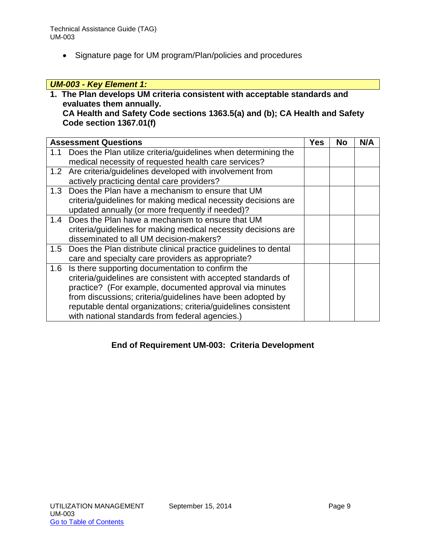Signature page for UM program/Plan/policies and procedures

# *UM-003 - Key Element 1:*

**1. The Plan develops UM criteria consistent with acceptable standards and evaluates them annually.**

**CA Health and Safety Code sections 1363.5(a) and (b); CA Health and Safety Code section 1367.01(f)**

|     | <b>Assessment Questions</b>                                                                                                                                                                                                                                                                                                                                     | Yes | No | N/A |
|-----|-----------------------------------------------------------------------------------------------------------------------------------------------------------------------------------------------------------------------------------------------------------------------------------------------------------------------------------------------------------------|-----|----|-----|
| 1.1 | Does the Plan utilize criteria/guidelines when determining the<br>medical necessity of requested health care services?                                                                                                                                                                                                                                          |     |    |     |
|     | 1.2 Are criteria/guidelines developed with involvement from<br>actively practicing dental care providers?                                                                                                                                                                                                                                                       |     |    |     |
| 1.3 | Does the Plan have a mechanism to ensure that UM<br>criteria/guidelines for making medical necessity decisions are<br>updated annually (or more frequently if needed)?                                                                                                                                                                                          |     |    |     |
| 1.4 | Does the Plan have a mechanism to ensure that UM<br>criteria/guidelines for making medical necessity decisions are<br>disseminated to all UM decision-makers?                                                                                                                                                                                                   |     |    |     |
| 1.5 | Does the Plan distribute clinical practice guidelines to dental<br>care and specialty care providers as appropriate?                                                                                                                                                                                                                                            |     |    |     |
| 1.6 | Is there supporting documentation to confirm the<br>criteria/guidelines are consistent with accepted standards of<br>practice? (For example, documented approval via minutes<br>from discussions; criteria/guidelines have been adopted by<br>reputable dental organizations; criteria/guidelines consistent<br>with national standards from federal agencies.) |     |    |     |

# **End of Requirement UM-003: Criteria Development**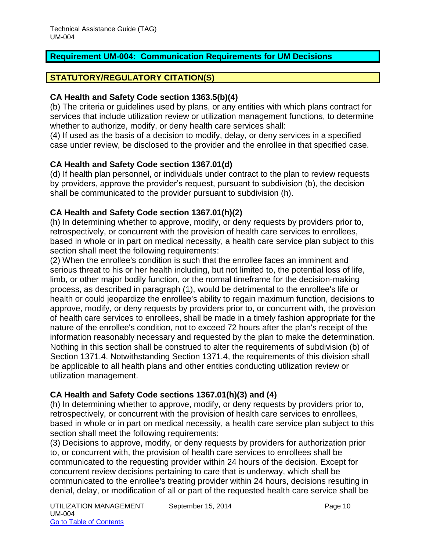# <span id="page-11-0"></span>**Requirement UM-004: Communication Requirements for UM Decisions**

# **STATUTORY/REGULATORY CITATION(S)**

#### **CA Health and Safety Code section 1363.5(b)(4)**

(b) The criteria or guidelines used by plans, or any entities with which plans contract for services that include utilization review or utilization management functions, to determine whether to authorize, modify, or deny health care services shall:

(4) If used as the basis of a decision to modify, delay, or deny services in a specified case under review, be disclosed to the provider and the enrollee in that specified case.

#### **CA Health and Safety Code section 1367.01(d)**

(d) If health plan personnel, or individuals under contract to the plan to review requests by providers, approve the provider's request, pursuant to subdivision (b), the decision shall be communicated to the provider pursuant to subdivision (h).

# **CA Health and Safety Code section 1367.01(h)(2)**

(h) In determining whether to approve, modify, or deny requests by providers prior to, retrospectively, or concurrent with the provision of health care services to enrollees, based in whole or in part on medical necessity, a health care service plan subject to this section shall meet the following requirements:

(2) When the enrollee's condition is such that the enrollee faces an imminent and serious threat to his or her health including, but not limited to, the potential loss of life, limb, or other major bodily function, or the normal timeframe for the decision-making process, as described in paragraph (1), would be detrimental to the enrollee's life or health or could jeopardize the enrollee's ability to regain maximum function, decisions to approve, modify, or deny requests by providers prior to, or concurrent with, the provision of health care services to enrollees, shall be made in a timely fashion appropriate for the nature of the enrollee's condition, not to exceed 72 hours after the plan's receipt of the information reasonably necessary and requested by the plan to make the determination. Nothing in this section shall be construed to alter the requirements of subdivision (b) of Section 1371.4. Notwithstanding Section 1371.4, the requirements of this division shall be applicable to all health plans and other entities conducting utilization review or utilization management.

# **CA Health and Safety Code sections 1367.01(h)(3) and (4)**

(h) In determining whether to approve, modify, or deny requests by providers prior to, retrospectively, or concurrent with the provision of health care services to enrollees, based in whole or in part on medical necessity, a health care service plan subject to this section shall meet the following requirements:

(3) Decisions to approve, modify, or deny requests by providers for authorization prior to, or concurrent with, the provision of health care services to enrollees shall be communicated to the requesting provider within 24 hours of the decision. Except for concurrent review decisions pertaining to care that is underway, which shall be communicated to the enrollee's treating provider within 24 hours, decisions resulting in denial, delay, or modification of all or part of the requested health care service shall be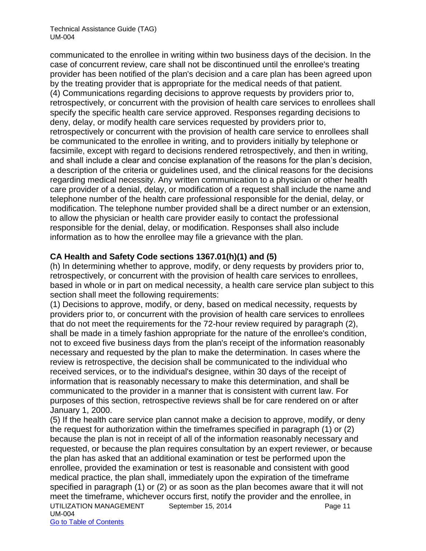communicated to the enrollee in writing within two business days of the decision. In the case of concurrent review, care shall not be discontinued until the enrollee's treating provider has been notified of the plan's decision and a care plan has been agreed upon by the treating provider that is appropriate for the medical needs of that patient. (4) Communications regarding decisions to approve requests by providers prior to, retrospectively, or concurrent with the provision of health care services to enrollees shall specify the specific health care service approved. Responses regarding decisions to deny, delay, or modify health care services requested by providers prior to, retrospectively or concurrent with the provision of health care service to enrollees shall be communicated to the enrollee in writing, and to providers initially by telephone or facsimile, except with regard to decisions rendered retrospectively, and then in writing, and shall include a clear and concise explanation of the reasons for the plan's decision, a description of the criteria or guidelines used, and the clinical reasons for the decisions regarding medical necessity. Any written communication to a physician or other health care provider of a denial, delay, or modification of a request shall include the name and telephone number of the health care professional responsible for the denial, delay, or modification. The telephone number provided shall be a direct number or an extension, to allow the physician or health care provider easily to contact the professional responsible for the denial, delay, or modification. Responses shall also include information as to how the enrollee may file a grievance with the plan.

# **CA Health and Safety Code sections 1367.01(h)(1) and (5)**

(h) In determining whether to approve, modify, or deny requests by providers prior to, retrospectively, or concurrent with the provision of health care services to enrollees, based in whole or in part on medical necessity, a health care service plan subject to this section shall meet the following requirements:

(1) Decisions to approve, modify, or deny, based on medical necessity, requests by providers prior to, or concurrent with the provision of health care services to enrollees that do not meet the requirements for the 72-hour review required by paragraph (2), shall be made in a timely fashion appropriate for the nature of the enrollee's condition, not to exceed five business days from the plan's receipt of the information reasonably necessary and requested by the plan to make the determination. In cases where the review is retrospective, the decision shall be communicated to the individual who received services, or to the individual's designee, within 30 days of the receipt of information that is reasonably necessary to make this determination, and shall be communicated to the provider in a manner that is consistent with current law. For purposes of this section, retrospective reviews shall be for care rendered on or after January 1, 2000.

UTILIZATION MANAGEMENT September 15, 2014 **Page 11** UM-004 (5) If the health care service plan cannot make a decision to approve, modify, or deny the request for authorization within the timeframes specified in paragraph (1) or (2) because the plan is not in receipt of all of the information reasonably necessary and requested, or because the plan requires consultation by an expert reviewer, or because the plan has asked that an additional examination or test be performed upon the enrollee, provided the examination or test is reasonable and consistent with good medical practice, the plan shall, immediately upon the expiration of the timeframe specified in paragraph (1) or (2) or as soon as the plan becomes aware that it will not meet the timeframe, whichever occurs first, notify the provider and the enrollee, in

Go to Table of Contents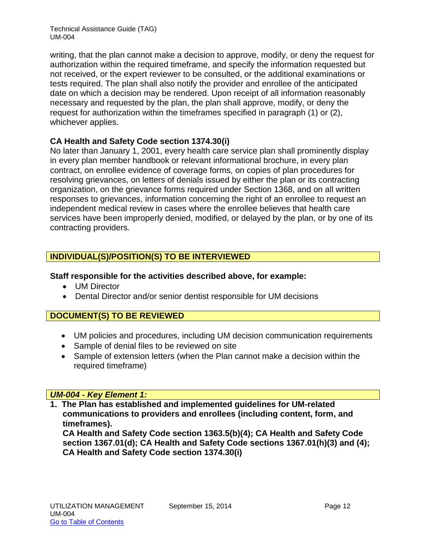writing, that the plan cannot make a decision to approve, modify, or deny the request for authorization within the required timeframe, and specify the information requested but not received, or the expert reviewer to be consulted, or the additional examinations or tests required. The plan shall also notify the provider and enrollee of the anticipated date on which a decision may be rendered. Upon receipt of all information reasonably necessary and requested by the plan, the plan shall approve, modify, or deny the request for authorization within the timeframes specified in paragraph (1) or (2), whichever applies.

# **CA Health and Safety Code section 1374.30(i)**

No later than January 1, 2001, every health care service plan shall prominently display in every plan member handbook or relevant informational brochure, in every plan contract, on enrollee evidence of coverage forms, on copies of plan procedures for resolving grievances, on letters of denials issued by either the plan or its contracting organization, on the grievance forms required under Section 1368, and on all written responses to grievances, information concerning the right of an enrollee to request an independent medical review in cases where the enrollee believes that health care services have been improperly denied, modified, or delayed by the plan, or by one of its contracting providers.

# **INDIVIDUAL(S)/POSITION(S) TO BE INTERVIEWED**

#### **Staff responsible for the activities described above, for example:**

- UM Director
- Dental Director and/or senior dentist responsible for UM decisions

# **DOCUMENT(S) TO BE REVIEWED**

- UM policies and procedures, including UM decision communication requirements
- Sample of denial files to be reviewed on site
- Sample of extension letters (when the Plan cannot make a decision within the required timeframe)

#### *UM-004 - Key Element 1:*

**1. The Plan has established and implemented guidelines for UM-related communications to providers and enrollees (including content, form, and timeframes).** 

**CA Health and Safety Code section 1363.5(b)(4); CA Health and Safety Code section 1367.01(d); CA Health and Safety Code sections 1367.01(h)(3) and (4); CA Health and Safety Code section 1374.30(i)**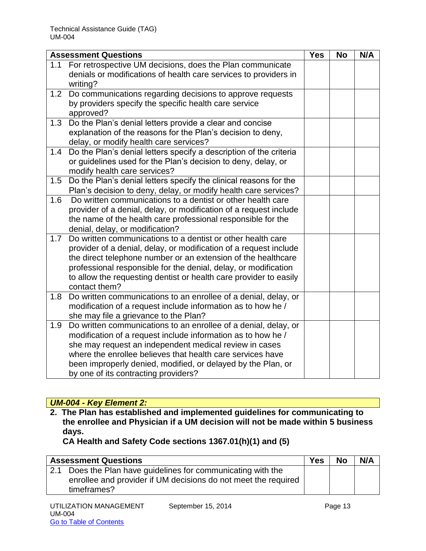|     | <b>Assessment Questions</b>                                                                                                                                                                                                                                                                                                                                     | <b>Yes</b> | <b>No</b> | N/A |
|-----|-----------------------------------------------------------------------------------------------------------------------------------------------------------------------------------------------------------------------------------------------------------------------------------------------------------------------------------------------------------------|------------|-----------|-----|
| 1.1 | For retrospective UM decisions, does the Plan communicate<br>denials or modifications of health care services to providers in<br>writing?                                                                                                                                                                                                                       |            |           |     |
| 1.2 | Do communications regarding decisions to approve requests<br>by providers specify the specific health care service<br>approved?                                                                                                                                                                                                                                 |            |           |     |
| 1.3 | Do the Plan's denial letters provide a clear and concise<br>explanation of the reasons for the Plan's decision to deny,<br>delay, or modify health care services?                                                                                                                                                                                               |            |           |     |
| 1.4 | Do the Plan's denial letters specify a description of the criteria<br>or guidelines used for the Plan's decision to deny, delay, or<br>modify health care services?                                                                                                                                                                                             |            |           |     |
| 1.5 | Do the Plan's denial letters specify the clinical reasons for the<br>Plan's decision to deny, delay, or modify health care services?                                                                                                                                                                                                                            |            |           |     |
| 1.6 | Do written communications to a dentist or other health care<br>provider of a denial, delay, or modification of a request include<br>the name of the health care professional responsible for the<br>denial, delay, or modification?                                                                                                                             |            |           |     |
| 1.7 | Do written communications to a dentist or other health care<br>provider of a denial, delay, or modification of a request include<br>the direct telephone number or an extension of the healthcare<br>professional responsible for the denial, delay, or modification<br>to allow the requesting dentist or health care provider to easily<br>contact them?      |            |           |     |
| 1.8 | Do written communications to an enrollee of a denial, delay, or<br>modification of a request include information as to how he /<br>she may file a grievance to the Plan?                                                                                                                                                                                        |            |           |     |
| 1.9 | Do written communications to an enrollee of a denial, delay, or<br>modification of a request include information as to how he /<br>she may request an independent medical review in cases<br>where the enrollee believes that health care services have<br>been improperly denied, modified, or delayed by the Plan, or<br>by one of its contracting providers? |            |           |     |

# *UM-004 - Key Element 2:*

**2. The Plan has established and implemented guidelines for communicating to the enrollee and Physician if a UM decision will not be made within 5 business days.** 

**CA Health and Safety Code sections 1367.01(h)(1) and (5)**

| <b>Assessment Questions</b>                                    | <b>Yes</b> | <b>No</b> | N/A |
|----------------------------------------------------------------|------------|-----------|-----|
| Does the Plan have guidelines for communicating with the       |            |           |     |
| enrollee and provider if UM decisions do not meet the required |            |           |     |
| timeframes?                                                    |            |           |     |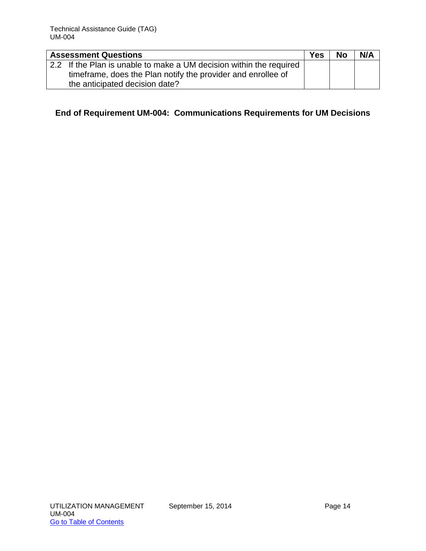| <b>Assessment Questions</b>                                                                                                                                           | <b>Yes</b> | <b>No</b> | N/A |
|-----------------------------------------------------------------------------------------------------------------------------------------------------------------------|------------|-----------|-----|
| 2.2 If the Plan is unable to make a UM decision within the required<br>timeframe, does the Plan notify the provider and enrollee of<br>the anticipated decision date? |            |           |     |

# **End of Requirement UM-004: Communications Requirements for UM Decisions**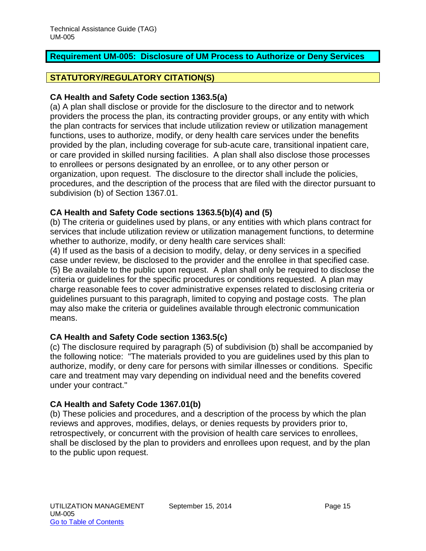# <span id="page-16-0"></span>**Requirement UM-005: Disclosure of UM Process to Authorize or Deny Services**

# **STATUTORY/REGULATORY CITATION(S)**

#### **CA Health and Safety Code section 1363.5(a)**

(a) A plan shall disclose or provide for the disclosure to the director and to network providers the process the plan, its contracting provider groups, or any entity with which the plan contracts for services that include utilization review or utilization management functions, uses to authorize, modify, or deny health care services under the benefits provided by the plan, including coverage for sub-acute care, transitional inpatient care, or care provided in skilled nursing facilities. A plan shall also disclose those processes to enrollees or persons designated by an enrollee, or to any other person or organization, upon request. The disclosure to the director shall include the policies, procedures, and the description of the process that are filed with the director pursuant to subdivision (b) of Section 1367.01.

#### **CA Health and Safety Code sections 1363.5(b)(4) and (5)**

(b) The criteria or guidelines used by plans, or any entities with which plans contract for services that include utilization review or utilization management functions, to determine whether to authorize, modify, or deny health care services shall:

(4) If used as the basis of a decision to modify, delay, or deny services in a specified case under review, be disclosed to the provider and the enrollee in that specified case. (5) Be available to the public upon request. A plan shall only be required to disclose the criteria or guidelines for the specific procedures or conditions requested. A plan may charge reasonable fees to cover administrative expenses related to disclosing criteria or guidelines pursuant to this paragraph, limited to copying and postage costs. The plan may also make the criteria or guidelines available through electronic communication means.

#### **CA Health and Safety Code section 1363.5(c)**

(c) The disclosure required by paragraph (5) of subdivision (b) shall be accompanied by the following notice: "The materials provided to you are guidelines used by this plan to authorize, modify, or deny care for persons with similar illnesses or conditions. Specific care and treatment may vary depending on individual need and the benefits covered under your contract."

#### **CA Health and Safety Code 1367.01(b)**

(b) These policies and procedures, and a description of the process by which the plan reviews and approves, modifies, delays, or denies requests by providers prior to, retrospectively, or concurrent with the provision of health care services to enrollees, shall be disclosed by the plan to providers and enrollees upon request, and by the plan to the public upon request.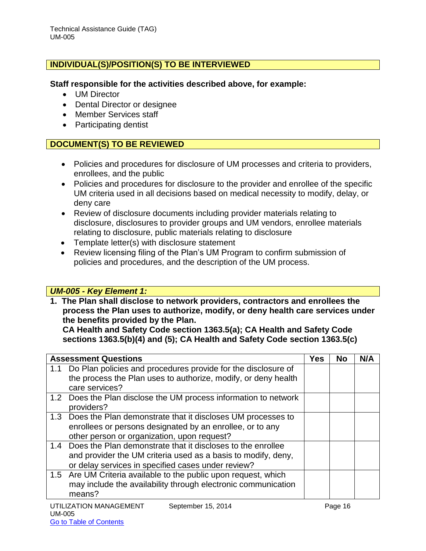# **INDIVIDUAL(S)/POSITION(S) TO BE INTERVIEWED**

#### **Staff responsible for the activities described above, for example:**

- UM Director
- Dental Director or designee
- Member Services staff
- Participating dentist

# **DOCUMENT(S) TO BE REVIEWED**

- Policies and procedures for disclosure of UM processes and criteria to providers, enrollees, and the public
- Policies and procedures for disclosure to the provider and enrollee of the specific UM criteria used in all decisions based on medical necessity to modify, delay, or deny care
- Review of disclosure documents including provider materials relating to disclosure, disclosures to provider groups and UM vendors, enrollee materials relating to disclosure, public materials relating to disclosure
- Template letter(s) with disclosure statement
- Review licensing filing of the Plan's UM Program to confirm submission of policies and procedures, and the description of the UM process.

#### *UM-005 - Key Element 1:*

**1. The Plan shall disclose to network providers, contractors and enrollees the process the Plan uses to authorize, modify, or deny health care services under the benefits provided by the Plan.** 

**CA Health and Safety Code section 1363.5(a); CA Health and Safety Code sections 1363.5(b)(4) and (5); CA Health and Safety Code section 1363.5(c)**

| <b>Assessment Questions</b>                                                                                                                                                            | Yes | <b>No</b> | N/A |
|----------------------------------------------------------------------------------------------------------------------------------------------------------------------------------------|-----|-----------|-----|
| 1.1 Do Plan policies and procedures provide for the disclosure of<br>the process the Plan uses to authorize, modify, or deny health<br>care services?                                  |     |           |     |
| 1.2 Does the Plan disclose the UM process information to network<br>providers?                                                                                                         |     |           |     |
| 1.3 Does the Plan demonstrate that it discloses UM processes to<br>enrollees or persons designated by an enrollee, or to any<br>other person or organization, upon request?            |     |           |     |
| 1.4 Does the Plan demonstrate that it discloses to the enrollee<br>and provider the UM criteria used as a basis to modify, deny,<br>or delay services in specified cases under review? |     |           |     |
| 1.5 Are UM Criteria available to the public upon request, which<br>may include the availability through electronic communication<br>means?                                             |     |           |     |
|                                                                                                                                                                                        |     |           |     |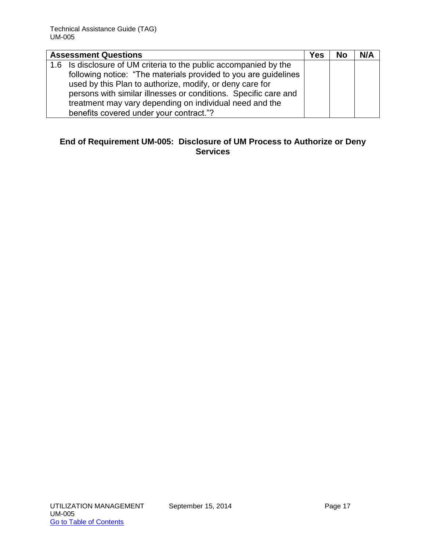| <b>Assessment Questions</b>                                       | Yes | <b>No</b> | N/A |
|-------------------------------------------------------------------|-----|-----------|-----|
| 1.6 Is disclosure of UM criteria to the public accompanied by the |     |           |     |
| following notice: "The materials provided to you are guidelines   |     |           |     |
| used by this Plan to authorize, modify, or deny care for          |     |           |     |
| persons with similar illnesses or conditions. Specific care and   |     |           |     |
| treatment may vary depending on individual need and the           |     |           |     |
| benefits covered under your contract."?                           |     |           |     |

# **End of Requirement UM-005: Disclosure of UM Process to Authorize or Deny Services**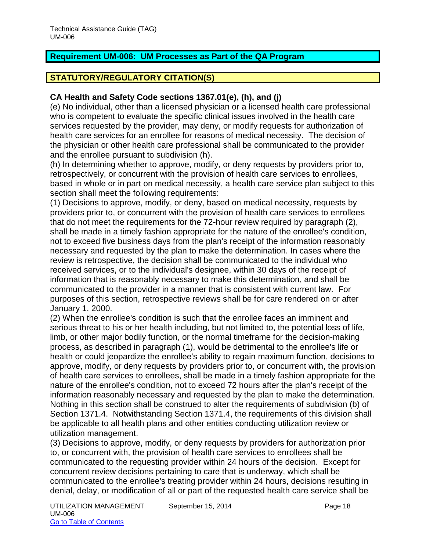# <span id="page-19-0"></span>**Requirement UM-006: UM Processes as Part of the QA Program**

# **STATUTORY/REGULATORY CITATION(S)**

## **CA Health and Safety Code sections 1367.01(e), (h), and (j)**

(e) No individual, other than a licensed physician or a licensed health care professional who is competent to evaluate the specific clinical issues involved in the health care services requested by the provider, may deny, or modify requests for authorization of health care services for an enrollee for reasons of medical necessity. The decision of the physician or other health care professional shall be communicated to the provider and the enrollee pursuant to subdivision (h).

(h) In determining whether to approve, modify, or deny requests by providers prior to, retrospectively, or concurrent with the provision of health care services to enrollees, based in whole or in part on medical necessity, a health care service plan subject to this section shall meet the following requirements:

(1) Decisions to approve, modify, or deny, based on medical necessity, requests by providers prior to, or concurrent with the provision of health care services to enrollees that do not meet the requirements for the 72-hour review required by paragraph (2), shall be made in a timely fashion appropriate for the nature of the enrollee's condition, not to exceed five business days from the plan's receipt of the information reasonably necessary and requested by the plan to make the determination. In cases where the review is retrospective, the decision shall be communicated to the individual who received services, or to the individual's designee, within 30 days of the receipt of information that is reasonably necessary to make this determination, and shall be communicated to the provider in a manner that is consistent with current law. For purposes of this section, retrospective reviews shall be for care rendered on or after January 1, 2000.

(2) When the enrollee's condition is such that the enrollee faces an imminent and serious threat to his or her health including, but not limited to, the potential loss of life, limb, or other major bodily function, or the normal timeframe for the decision-making process, as described in paragraph (1), would be detrimental to the enrollee's life or health or could jeopardize the enrollee's ability to regain maximum function, decisions to approve, modify, or deny requests by providers prior to, or concurrent with, the provision of health care services to enrollees, shall be made in a timely fashion appropriate for the nature of the enrollee's condition, not to exceed 72 hours after the plan's receipt of the information reasonably necessary and requested by the plan to make the determination. Nothing in this section shall be construed to alter the requirements of subdivision (b) of Section 1371.4. Notwithstanding Section 1371.4, the requirements of this division shall be applicable to all health plans and other entities conducting utilization review or utilization management.

(3) Decisions to approve, modify, or deny requests by providers for authorization prior to, or concurrent with, the provision of health care services to enrollees shall be communicated to the requesting provider within 24 hours of the decision. Except for concurrent review decisions pertaining to care that is underway, which shall be communicated to the enrollee's treating provider within 24 hours, decisions resulting in denial, delay, or modification of all or part of the requested health care service shall be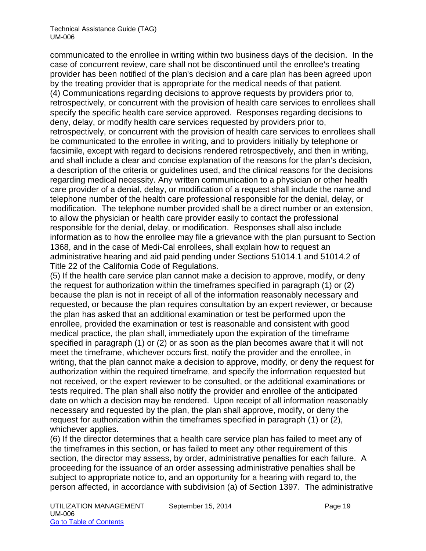communicated to the enrollee in writing within two business days of the decision. In the case of concurrent review, care shall not be discontinued until the enrollee's treating provider has been notified of the plan's decision and a care plan has been agreed upon by the treating provider that is appropriate for the medical needs of that patient. (4) Communications regarding decisions to approve requests by providers prior to, retrospectively, or concurrent with the provision of health care services to enrollees shall specify the specific health care service approved. Responses regarding decisions to deny, delay, or modify health care services requested by providers prior to, retrospectively, or concurrent with the provision of health care services to enrollees shall be communicated to the enrollee in writing, and to providers initially by telephone or facsimile, except with regard to decisions rendered retrospectively, and then in writing, and shall include a clear and concise explanation of the reasons for the plan's decision, a description of the criteria or guidelines used, and the clinical reasons for the decisions regarding medical necessity. Any written communication to a physician or other health care provider of a denial, delay, or modification of a request shall include the name and telephone number of the health care professional responsible for the denial, delay, or modification. The telephone number provided shall be a direct number or an extension, to allow the physician or health care provider easily to contact the professional responsible for the denial, delay, or modification. Responses shall also include information as to how the enrollee may file a grievance with the plan pursuant to Section 1368, and in the case of Medi-Cal enrollees, shall explain how to request an administrative hearing and aid paid pending under Sections 51014.1 and 51014.2 of Title 22 of the California Code of Regulations.

(5) If the health care service plan cannot make a decision to approve, modify, or deny the request for authorization within the timeframes specified in paragraph (1) or (2) because the plan is not in receipt of all of the information reasonably necessary and requested, or because the plan requires consultation by an expert reviewer, or because the plan has asked that an additional examination or test be performed upon the enrollee, provided the examination or test is reasonable and consistent with good medical practice, the plan shall, immediately upon the expiration of the timeframe specified in paragraph (1) or (2) or as soon as the plan becomes aware that it will not meet the timeframe, whichever occurs first, notify the provider and the enrollee, in writing, that the plan cannot make a decision to approve, modify, or deny the request for authorization within the required timeframe, and specify the information requested but not received, or the expert reviewer to be consulted, or the additional examinations or tests required. The plan shall also notify the provider and enrollee of the anticipated date on which a decision may be rendered. Upon receipt of all information reasonably necessary and requested by the plan, the plan shall approve, modify, or deny the request for authorization within the timeframes specified in paragraph (1) or (2), whichever applies.

(6) If the director determines that a health care service plan has failed to meet any of the timeframes in this section, or has failed to meet any other requirement of this section, the director may assess, by order, administrative penalties for each failure. A proceeding for the issuance of an order assessing administrative penalties shall be subject to appropriate notice to, and an opportunity for a hearing with regard to, the person affected, in accordance with subdivision (a) of Section 1397. The administrative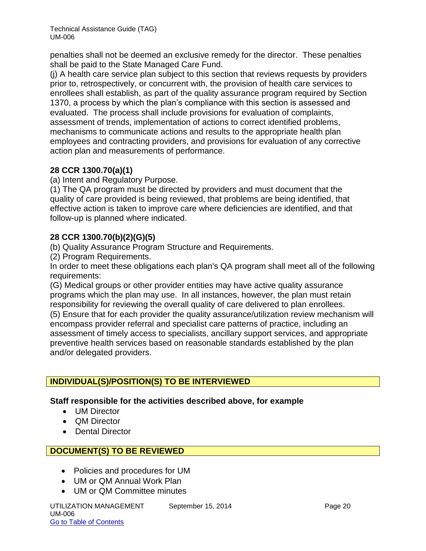penalties shall not be deemed an exclusive remedy for the director. These penalties shall be paid to the State Managed Care Fund.

(j) A health care service plan subject to this section that reviews requests by providers prior to, retrospectively, or concurrent with, the provision of health care services to enrollees shall establish, as part of the quality assurance program required by Section 1370, a process by which the plan's compliance with this section is assessed and evaluated. The process shall include provisions for evaluation of complaints, assessment of trends, implementation of actions to correct identified problems, mechanisms to communicate actions and results to the appropriate health plan employees and contracting providers, and provisions for evaluation of any corrective action plan and measurements of performance.

# **28 CCR 1300.70(a)(1)**

(a) Intent and Regulatory Purpose.

(1) The QA program must be directed by providers and must document that the quality of care provided is being reviewed, that problems are being identified, that effective action is taken to improve care where deficiencies are identified, and that follow-up is planned where indicated.

# **28 CCR 1300.70(b)(2)(G)(5)**

(b) Quality Assurance Program Structure and Requirements.

(2) Program Requirements.

In order to meet these obligations each plan's QA program shall meet all of the following requirements:

(G) Medical groups or other provider entities may have active quality assurance programs which the plan may use. In all instances, however, the plan must retain responsibility for reviewing the overall quality of care delivered to plan enrollees.

(5) Ensure that for each provider the quality assurance/utilization review mechanism will encompass provider referral and specialist care patterns of practice, including an assessment of timely access to specialists, ancillary support services, and appropriate preventive health services based on reasonable standards established by the plan and/or delegated providers.

# **INDIVIDUAL(S)/POSITION(S) TO BE INTERVIEWED**

# **Staff responsible for the activities described above, for example**

- **UM Director**
- OM Director
- Dental Director

# **DOCUMENT(S) TO BE REVIEWED**

- Policies and procedures for UM
- UM or QM Annual Work Plan
- UM or QM Committee minutes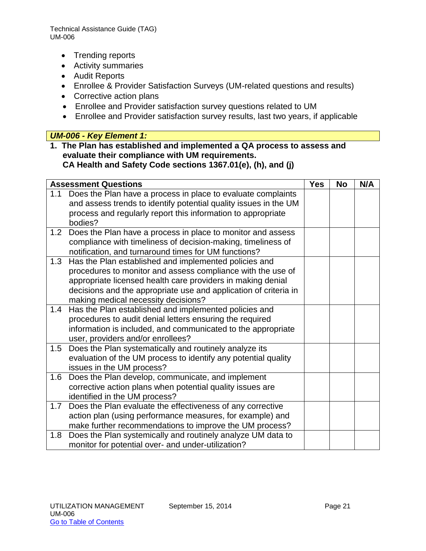- Trending reports
- Activity summaries
- Audit Reports
- Enrollee & Provider Satisfaction Surveys (UM-related questions and results)
- Corrective action plans
- Enrollee and Provider satisfaction survey questions related to UM
- Enrollee and Provider satisfaction survey results, last two years, if applicable

# *UM-006 - Key Element 1:*

**1. The Plan has established and implemented a QA process to assess and evaluate their compliance with UM requirements. CA Health and Safety Code sections 1367.01(e), (h), and (j)**

| <b>Assessment Questions</b>                                                                                                                                                                             | <b>Yes</b> | <b>No</b> | N/A |
|---------------------------------------------------------------------------------------------------------------------------------------------------------------------------------------------------------|------------|-----------|-----|
| Does the Plan have a process in place to evaluate complaints<br>1.1<br>and assess trends to identify potential quality issues in the UM<br>process and regularly report this information to appropriate |            |           |     |
| bodies?                                                                                                                                                                                                 |            |           |     |
| Does the Plan have a process in place to monitor and assess<br>1.2                                                                                                                                      |            |           |     |
| compliance with timeliness of decision-making, timeliness of<br>notification, and turnaround times for UM functions?                                                                                    |            |           |     |
| Has the Plan established and implemented policies and<br>1.3                                                                                                                                            |            |           |     |
| procedures to monitor and assess compliance with the use of                                                                                                                                             |            |           |     |
| appropriate licensed health care providers in making denial<br>decisions and the appropriate use and application of criteria in                                                                         |            |           |     |
| making medical necessity decisions?                                                                                                                                                                     |            |           |     |
| Has the Plan established and implemented policies and<br>1.4                                                                                                                                            |            |           |     |
| procedures to audit denial letters ensuring the required<br>information is included, and communicated to the appropriate                                                                                |            |           |     |
| user, providers and/or enrollees?                                                                                                                                                                       |            |           |     |
| Does the Plan systematically and routinely analyze its<br>1.5                                                                                                                                           |            |           |     |
| evaluation of the UM process to identify any potential quality<br>issues in the UM process?                                                                                                             |            |           |     |
| Does the Plan develop, communicate, and implement<br>1.6                                                                                                                                                |            |           |     |
| corrective action plans when potential quality issues are                                                                                                                                               |            |           |     |
| identified in the UM process?<br>Does the Plan evaluate the effectiveness of any corrective<br>1.7                                                                                                      |            |           |     |
| action plan (using performance measures, for example) and                                                                                                                                               |            |           |     |
| make further recommendations to improve the UM process?                                                                                                                                                 |            |           |     |
| Does the Plan systemically and routinely analyze UM data to<br>1.8                                                                                                                                      |            |           |     |
| monitor for potential over- and under-utilization?                                                                                                                                                      |            |           |     |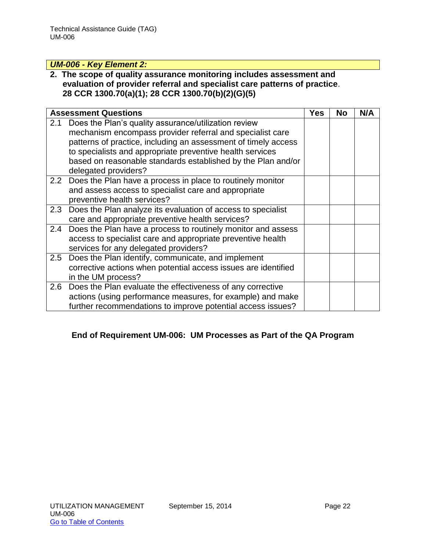# *UM-006 - Key Element 2:*

## **2. The scope of quality assurance monitoring includes assessment and evaluation of provider referral and specialist care patterns of practice**. **28 CCR 1300.70(a)(1); 28 CCR 1300.70(b)(2)(G)(5)**

|     | <b>Assessment Questions</b>                                                                                                                                                                                                                                                                                                              | Yes | No | N/A |
|-----|------------------------------------------------------------------------------------------------------------------------------------------------------------------------------------------------------------------------------------------------------------------------------------------------------------------------------------------|-----|----|-----|
| 2.1 | Does the Plan's quality assurance/utilization review<br>mechanism encompass provider referral and specialist care<br>patterns of practice, including an assessment of timely access<br>to specialists and appropriate preventive health services<br>based on reasonable standards established by the Plan and/or<br>delegated providers? |     |    |     |
|     | 2.2 Does the Plan have a process in place to routinely monitor<br>and assess access to specialist care and appropriate<br>preventive health services?                                                                                                                                                                                    |     |    |     |
| 2.3 | Does the Plan analyze its evaluation of access to specialist<br>care and appropriate preventive health services?                                                                                                                                                                                                                         |     |    |     |
| 2.4 | Does the Plan have a process to routinely monitor and assess<br>access to specialist care and appropriate preventive health<br>services for any delegated providers?                                                                                                                                                                     |     |    |     |
| 2.5 | Does the Plan identify, communicate, and implement<br>corrective actions when potential access issues are identified<br>in the UM process?                                                                                                                                                                                               |     |    |     |
|     | 2.6 Does the Plan evaluate the effectiveness of any corrective<br>actions (using performance measures, for example) and make<br>further recommendations to improve potential access issues?                                                                                                                                              |     |    |     |

# **End of Requirement UM-006: UM Processes as Part of the QA Program**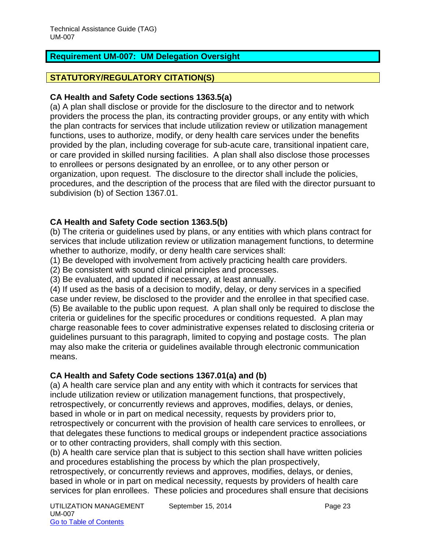# <span id="page-24-0"></span>**Requirement UM-007: UM Delegation Oversight**

# **STATUTORY/REGULATORY CITATION(S)**

#### **CA Health and Safety Code sections 1363.5(a)**

(a) A plan shall disclose or provide for the disclosure to the director and to network providers the process the plan, its contracting provider groups, or any entity with which the plan contracts for services that include utilization review or utilization management functions, uses to authorize, modify, or deny health care services under the benefits provided by the plan, including coverage for sub-acute care, transitional inpatient care, or care provided in skilled nursing facilities. A plan shall also disclose those processes to enrollees or persons designated by an enrollee, or to any other person or organization, upon request. The disclosure to the director shall include the policies, procedures, and the description of the process that are filed with the director pursuant to subdivision (b) of Section 1367.01.

# **CA Health and Safety Code section 1363.5(b)**

(b) The criteria or guidelines used by plans, or any entities with which plans contract for services that include utilization review or utilization management functions, to determine whether to authorize, modify, or deny health care services shall:

(1) Be developed with involvement from actively practicing health care providers.

(2) Be consistent with sound clinical principles and processes.

(3) Be evaluated, and updated if necessary, at least annually.

(4) If used as the basis of a decision to modify, delay, or deny services in a specified case under review, be disclosed to the provider and the enrollee in that specified case. (5) Be available to the public upon request. A plan shall only be required to disclose the criteria or guidelines for the specific procedures or conditions requested. A plan may charge reasonable fees to cover administrative expenses related to disclosing criteria or guidelines pursuant to this paragraph, limited to copying and postage costs. The plan may also make the criteria or guidelines available through electronic communication means.

#### **CA Health and Safety Code sections 1367.01(a) and (b)**

(a) A health care service plan and any entity with which it contracts for services that include utilization review or utilization management functions, that prospectively, retrospectively, or concurrently reviews and approves, modifies, delays, or denies, based in whole or in part on medical necessity, requests by providers prior to, retrospectively or concurrent with the provision of health care services to enrollees, or that delegates these functions to medical groups or independent practice associations or to other contracting providers, shall comply with this section.

(b) A health care service plan that is subject to this section shall have written policies and procedures establishing the process by which the plan prospectively,

retrospectively, or concurrently reviews and approves, modifies, delays, or denies, based in whole or in part on medical necessity, requests by providers of health care services for plan enrollees. These policies and procedures shall ensure that decisions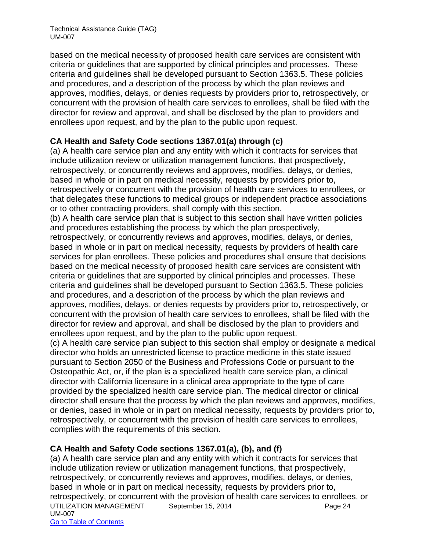based on the medical necessity of proposed health care services are consistent with criteria or guidelines that are supported by clinical principles and processes. These criteria and guidelines shall be developed pursuant to Section 1363.5. These policies and procedures, and a description of the process by which the plan reviews and approves, modifies, delays, or denies requests by providers prior to, retrospectively, or concurrent with the provision of health care services to enrollees, shall be filed with the director for review and approval, and shall be disclosed by the plan to providers and enrollees upon request, and by the plan to the public upon request.

# **CA Health and Safety Code sections 1367.01(a) through (c)**

(a) A health care service plan and any entity with which it contracts for services that include utilization review or utilization management functions, that prospectively, retrospectively, or concurrently reviews and approves, modifies, delays, or denies, based in whole or in part on medical necessity, requests by providers prior to, retrospectively or concurrent with the provision of health care services to enrollees, or that delegates these functions to medical groups or independent practice associations or to other contracting providers, shall comply with this section.

(b) A health care service plan that is subject to this section shall have written policies and procedures establishing the process by which the plan prospectively, retrospectively, or concurrently reviews and approves, modifies, delays, or denies, based in whole or in part on medical necessity, requests by providers of health care services for plan enrollees. These policies and procedures shall ensure that decisions based on the medical necessity of proposed health care services are consistent with criteria or guidelines that are supported by clinical principles and processes. These criteria and guidelines shall be developed pursuant to Section 1363.5. These policies and procedures, and a description of the process by which the plan reviews and approves, modifies, delays, or denies requests by providers prior to, retrospectively, or concurrent with the provision of health care services to enrollees, shall be filed with the director for review and approval, and shall be disclosed by the plan to providers and enrollees upon request, and by the plan to the public upon request.

(c) A health care service plan subject to this section shall employ or designate a medical director who holds an unrestricted license to practice medicine in this state issued pursuant to Section 2050 of the Business and Professions Code or pursuant to the Osteopathic Act, or, if the plan is a specialized health care service plan, a clinical director with California licensure in a clinical area appropriate to the type of care provided by the specialized health care service plan. The medical director or clinical director shall ensure that the process by which the plan reviews and approves, modifies, or denies, based in whole or in part on medical necessity, requests by providers prior to, retrospectively, or concurrent with the provision of health care services to enrollees, complies with the requirements of this section.

#### **CA Health and Safety Code sections 1367.01(a), (b), and (f)**

UTILIZATION MANAGEMENT September 15, 2014 **Page 24** UM-007 Go to Table of Contents (a) A health care service plan and any entity with which it contracts for services that include utilization review or utilization management functions, that prospectively, retrospectively, or concurrently reviews and approves, modifies, delays, or denies, based in whole or in part on medical necessity, requests by providers prior to, retrospectively, or concurrent with the provision of health care services to enrollees, or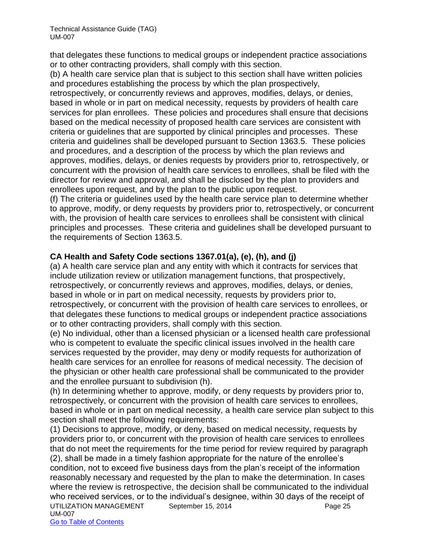that delegates these functions to medical groups or independent practice associations or to other contracting providers, shall comply with this section.

(b) A health care service plan that is subject to this section shall have written policies and procedures establishing the process by which the plan prospectively,

retrospectively, or concurrently reviews and approves, modifies, delays, or denies, based in whole or in part on medical necessity, requests by providers of health care services for plan enrollees. These policies and procedures shall ensure that decisions based on the medical necessity of proposed health care services are consistent with criteria or guidelines that are supported by clinical principles and processes. These criteria and guidelines shall be developed pursuant to Section 1363.5. These policies and procedures, and a description of the process by which the plan reviews and approves, modifies, delays, or denies requests by providers prior to, retrospectively, or concurrent with the provision of health care services to enrollees, shall be filed with the director for review and approval, and shall be disclosed by the plan to providers and enrollees upon request, and by the plan to the public upon request.

(f) The criteria or guidelines used by the health care service plan to determine whether to approve, modify, or deny requests by providers prior to, retrospectively, or concurrent with, the provision of health care services to enrollees shall be consistent with clinical principles and processes. These criteria and guidelines shall be developed pursuant to the requirements of Section 1363.5.

# **CA Health and Safety Code sections 1367.01(a), (e), (h), and (j)**

(a) A health care service plan and any entity with which it contracts for services that include utilization review or utilization management functions, that prospectively, retrospectively, or concurrently reviews and approves, modifies, delays, or denies, based in whole or in part on medical necessity, requests by providers prior to, retrospectively, or concurrent with the provision of health care services to enrollees, or that delegates these functions to medical groups or independent practice associations or to other contracting providers, shall comply with this section.

(e) No individual, other than a licensed physician or a licensed health care professional who is competent to evaluate the specific clinical issues involved in the health care services requested by the provider, may deny or modify requests for authorization of health care services for an enrollee for reasons of medical necessity. The decision of the physician or other health care professional shall be communicated to the provider and the enrollee pursuant to subdivision (h).

(h) In determining whether to approve, modify, or deny requests by providers prior to, retrospectively, or concurrent with the provision of health care services to enrollees, based in whole or in part on medical necessity, a health care service plan subject to this section shall meet the following requirements:

UTILIZATION MANAGEMENT September 15, 2014 **Page 25** UM-007 Go to Table of Contents (1) Decisions to approve, modify, or deny, based on medical necessity, requests by providers prior to, or concurrent with the provision of health care services to enrollees that do not meet the requirements for the time period for review required by paragraph (2), shall be made in a timely fashion appropriate for the nature of the enrollee's condition, not to exceed five business days from the plan's receipt of the information reasonably necessary and requested by the plan to make the determination. In cases where the review is retrospective, the decision shall be communicated to the individual who received services, or to the individual's designee, within 30 days of the receipt of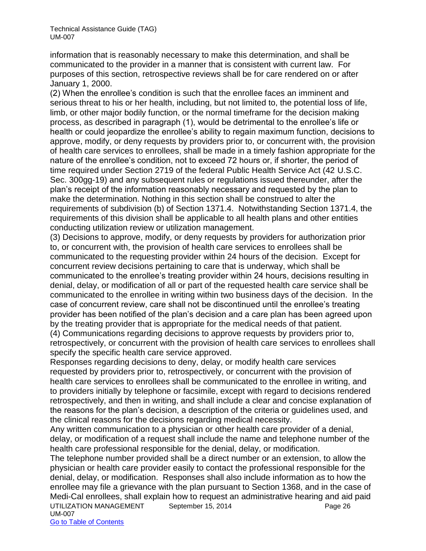information that is reasonably necessary to make this determination, and shall be communicated to the provider in a manner that is consistent with current law. For purposes of this section, retrospective reviews shall be for care rendered on or after January 1, 2000.

(2) When the enrollee's condition is such that the enrollee faces an imminent and serious threat to his or her health, including, but not limited to, the potential loss of life, limb, or other major bodily function, or the normal timeframe for the decision making process, as described in paragraph (1), would be detrimental to the enrollee's life or health or could jeopardize the enrollee's ability to regain maximum function, decisions to approve, modify, or deny requests by providers prior to, or concurrent with, the provision of health care services to enrollees, shall be made in a timely fashion appropriate for the nature of the enrollee's condition, not to exceed 72 hours or, if shorter, the period of time required under Section 2719 of the federal Public Health Service Act (42 U.S.C. Sec. 300gg-19) and any subsequent rules or regulations issued thereunder, after the plan's receipt of the information reasonably necessary and requested by the plan to make the determination. Nothing in this section shall be construed to alter the requirements of subdivision (b) of Section 1371.4. Notwithstanding Section 1371.4, the requirements of this division shall be applicable to all health plans and other entities conducting utilization review or utilization management.

(3) Decisions to approve, modify, or deny requests by providers for authorization prior to, or concurrent with, the provision of health care services to enrollees shall be communicated to the requesting provider within 24 hours of the decision. Except for concurrent review decisions pertaining to care that is underway, which shall be communicated to the enrollee's treating provider within 24 hours, decisions resulting in denial, delay, or modification of all or part of the requested health care service shall be communicated to the enrollee in writing within two business days of the decision. In the case of concurrent review, care shall not be discontinued until the enrollee's treating provider has been notified of the plan's decision and a care plan has been agreed upon by the treating provider that is appropriate for the medical needs of that patient.

(4) Communications regarding decisions to approve requests by providers prior to, retrospectively, or concurrent with the provision of health care services to enrollees shall specify the specific health care service approved.

Responses regarding decisions to deny, delay, or modify health care services requested by providers prior to, retrospectively, or concurrent with the provision of health care services to enrollees shall be communicated to the enrollee in writing, and to providers initially by telephone or facsimile, except with regard to decisions rendered retrospectively, and then in writing, and shall include a clear and concise explanation of the reasons for the plan's decision, a description of the criteria or guidelines used, and the clinical reasons for the decisions regarding medical necessity.

Any written communication to a physician or other health care provider of a denial, delay, or modification of a request shall include the name and telephone number of the health care professional responsible for the denial, delay, or modification.

UTILIZATION MANAGEMENT September 15, 2014 **Page 26** UM-007 The telephone number provided shall be a direct number or an extension, to allow the physician or health care provider easily to contact the professional responsible for the denial, delay, or modification. Responses shall also include information as to how the enrollee may file a grievance with the plan pursuant to Section 1368, and in the case of Medi-Cal enrollees, shall explain how to request an administrative hearing and aid paid

Go to Table of Contents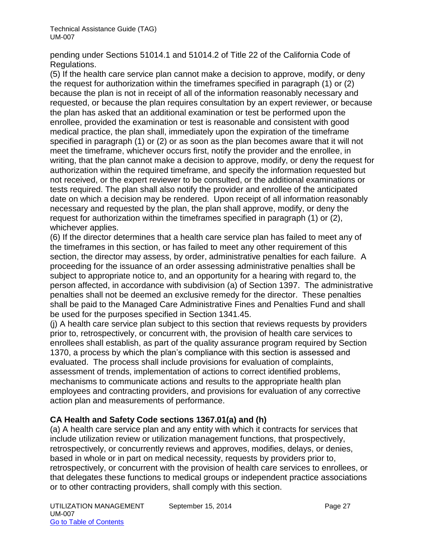pending under Sections 51014.1 and 51014.2 of Title 22 of the California Code of Regulations.

(5) If the health care service plan cannot make a decision to approve, modify, or deny the request for authorization within the timeframes specified in paragraph (1) or (2) because the plan is not in receipt of all of the information reasonably necessary and requested, or because the plan requires consultation by an expert reviewer, or because the plan has asked that an additional examination or test be performed upon the enrollee, provided the examination or test is reasonable and consistent with good medical practice, the plan shall, immediately upon the expiration of the timeframe specified in paragraph (1) or (2) or as soon as the plan becomes aware that it will not meet the timeframe, whichever occurs first, notify the provider and the enrollee, in writing, that the plan cannot make a decision to approve, modify, or deny the request for authorization within the required timeframe, and specify the information requested but not received, or the expert reviewer to be consulted, or the additional examinations or tests required. The plan shall also notify the provider and enrollee of the anticipated date on which a decision may be rendered. Upon receipt of all information reasonably necessary and requested by the plan, the plan shall approve, modify, or deny the request for authorization within the timeframes specified in paragraph (1) or (2), whichever applies.

(6) If the director determines that a health care service plan has failed to meet any of the timeframes in this section, or has failed to meet any other requirement of this section, the director may assess, by order, administrative penalties for each failure. A proceeding for the issuance of an order assessing administrative penalties shall be subject to appropriate notice to, and an opportunity for a hearing with regard to, the person affected, in accordance with subdivision (a) of Section 1397. The administrative penalties shall not be deemed an exclusive remedy for the director. These penalties shall be paid to the Managed Care Administrative Fines and Penalties Fund and shall be used for the purposes specified in Section 1341.45.

(j) A health care service plan subject to this section that reviews requests by providers prior to, retrospectively, or concurrent with, the provision of health care services to enrollees shall establish, as part of the quality assurance program required by Section 1370, a process by which the plan's compliance with this section is assessed and evaluated. The process shall include provisions for evaluation of complaints, assessment of trends, implementation of actions to correct identified problems, mechanisms to communicate actions and results to the appropriate health plan employees and contracting providers, and provisions for evaluation of any corrective action plan and measurements of performance.

# **CA Health and Safety Code sections 1367.01(a) and (h)**

(a) A health care service plan and any entity with which it contracts for services that include utilization review or utilization management functions, that prospectively, retrospectively, or concurrently reviews and approves, modifies, delays, or denies, based in whole or in part on medical necessity, requests by providers prior to, retrospectively, or concurrent with the provision of health care services to enrollees, or that delegates these functions to medical groups or independent practice associations or to other contracting providers, shall comply with this section.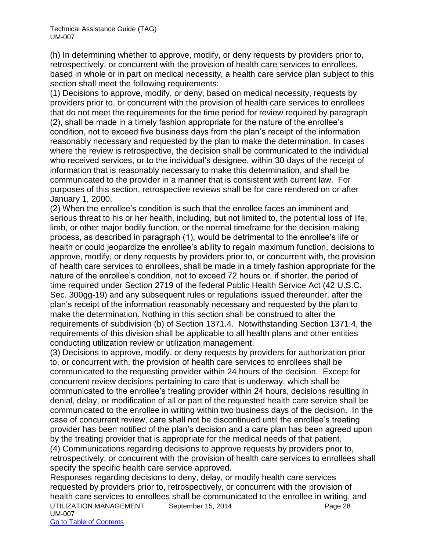(h) In determining whether to approve, modify, or deny requests by providers prior to, retrospectively, or concurrent with the provision of health care services to enrollees, based in whole or in part on medical necessity, a health care service plan subject to this section shall meet the following requirements:

(1) Decisions to approve, modify, or deny, based on medical necessity, requests by providers prior to, or concurrent with the provision of health care services to enrollees that do not meet the requirements for the time period for review required by paragraph (2), shall be made in a timely fashion appropriate for the nature of the enrollee's condition, not to exceed five business days from the plan's receipt of the information reasonably necessary and requested by the plan to make the determination. In cases where the review is retrospective, the decision shall be communicated to the individual who received services, or to the individual's designee, within 30 days of the receipt of information that is reasonably necessary to make this determination, and shall be communicated to the provider in a manner that is consistent with current law. For purposes of this section, retrospective reviews shall be for care rendered on or after January 1, 2000.

(2) When the enrollee's condition is such that the enrollee faces an imminent and serious threat to his or her health, including, but not limited to, the potential loss of life, limb, or other major bodily function, or the normal timeframe for the decision making process, as described in paragraph (1), would be detrimental to the enrollee's life or health or could jeopardize the enrollee's ability to regain maximum function, decisions to approve, modify, or deny requests by providers prior to, or concurrent with, the provision of health care services to enrollees, shall be made in a timely fashion appropriate for the nature of the enrollee's condition, not to exceed 72 hours or, if shorter, the period of time required under Section 2719 of the federal Public Health Service Act (42 U.S.C. Sec. 300gg-19) and any subsequent rules or regulations issued thereunder, after the plan's receipt of the information reasonably necessary and requested by the plan to make the determination. Nothing in this section shall be construed to alter the requirements of subdivision (b) of Section 1371.4. Notwithstanding Section 1371.4, the requirements of this division shall be applicable to all health plans and other entities conducting utilization review or utilization management.

(3) Decisions to approve, modify, or deny requests by providers for authorization prior to, or concurrent with, the provision of health care services to enrollees shall be communicated to the requesting provider within 24 hours of the decision. Except for concurrent review decisions pertaining to care that is underway, which shall be communicated to the enrollee's treating provider within 24 hours, decisions resulting in denial, delay, or modification of all or part of the requested health care service shall be communicated to the enrollee in writing within two business days of the decision. In the case of concurrent review, care shall not be discontinued until the enrollee's treating provider has been notified of the plan's decision and a care plan has been agreed upon by the treating provider that is appropriate for the medical needs of that patient.

(4) Communications regarding decisions to approve requests by providers prior to, retrospectively, or concurrent with the provision of health care services to enrollees shall specify the specific health care service approved.

UTILIZATION MANAGEMENT September 15, 2014 **Page 28** UM-007 Go to Table of Contents Responses regarding decisions to deny, delay, or modify health care services requested by providers prior to, retrospectively, or concurrent with the provision of health care services to enrollees shall be communicated to the enrollee in writing, and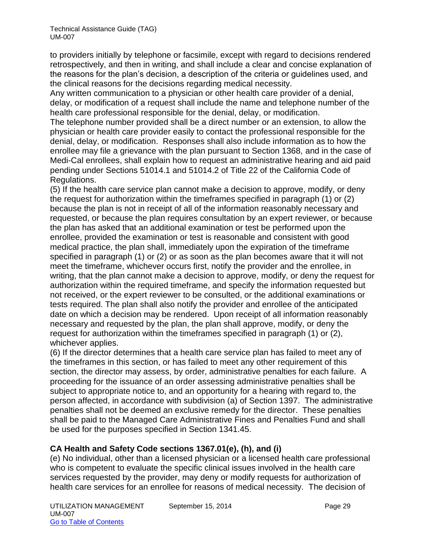to providers initially by telephone or facsimile, except with regard to decisions rendered retrospectively, and then in writing, and shall include a clear and concise explanation of the reasons for the plan's decision, a description of the criteria or guidelines used, and the clinical reasons for the decisions regarding medical necessity.

Any written communication to a physician or other health care provider of a denial, delay, or modification of a request shall include the name and telephone number of the health care professional responsible for the denial, delay, or modification.

The telephone number provided shall be a direct number or an extension, to allow the physician or health care provider easily to contact the professional responsible for the denial, delay, or modification. Responses shall also include information as to how the enrollee may file a grievance with the plan pursuant to Section 1368, and in the case of Medi-Cal enrollees, shall explain how to request an administrative hearing and aid paid pending under Sections 51014.1 and 51014.2 of Title 22 of the California Code of Regulations.

(5) If the health care service plan cannot make a decision to approve, modify, or deny the request for authorization within the timeframes specified in paragraph (1) or (2) because the plan is not in receipt of all of the information reasonably necessary and requested, or because the plan requires consultation by an expert reviewer, or because the plan has asked that an additional examination or test be performed upon the enrollee, provided the examination or test is reasonable and consistent with good medical practice, the plan shall, immediately upon the expiration of the timeframe specified in paragraph (1) or (2) or as soon as the plan becomes aware that it will not meet the timeframe, whichever occurs first, notify the provider and the enrollee, in writing, that the plan cannot make a decision to approve, modify, or deny the request for authorization within the required timeframe, and specify the information requested but not received, or the expert reviewer to be consulted, or the additional examinations or tests required. The plan shall also notify the provider and enrollee of the anticipated date on which a decision may be rendered. Upon receipt of all information reasonably necessary and requested by the plan, the plan shall approve, modify, or deny the request for authorization within the timeframes specified in paragraph (1) or (2), whichever applies.

(6) If the director determines that a health care service plan has failed to meet any of the timeframes in this section, or has failed to meet any other requirement of this section, the director may assess, by order, administrative penalties for each failure. A proceeding for the issuance of an order assessing administrative penalties shall be subject to appropriate notice to, and an opportunity for a hearing with regard to, the person affected, in accordance with subdivision (a) of Section 1397. The administrative penalties shall not be deemed an exclusive remedy for the director. These penalties shall be paid to the Managed Care Administrative Fines and Penalties Fund and shall be used for the purposes specified in Section 1341.45.

# **CA Health and Safety Code sections 1367.01(e), (h), and (i)**

(e) No individual, other than a licensed physician or a licensed health care professional who is competent to evaluate the specific clinical issues involved in the health care services requested by the provider, may deny or modify requests for authorization of health care services for an enrollee for reasons of medical necessity. The decision of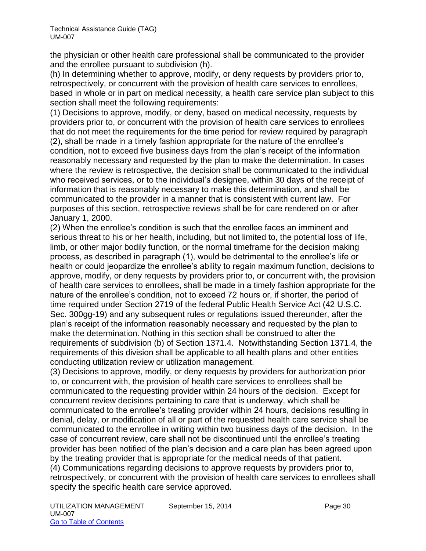the physician or other health care professional shall be communicated to the provider and the enrollee pursuant to subdivision (h).

(h) In determining whether to approve, modify, or deny requests by providers prior to, retrospectively, or concurrent with the provision of health care services to enrollees, based in whole or in part on medical necessity, a health care service plan subject to this section shall meet the following requirements:

(1) Decisions to approve, modify, or deny, based on medical necessity, requests by providers prior to, or concurrent with the provision of health care services to enrollees that do not meet the requirements for the time period for review required by paragraph (2), shall be made in a timely fashion appropriate for the nature of the enrollee's condition, not to exceed five business days from the plan's receipt of the information reasonably necessary and requested by the plan to make the determination. In cases where the review is retrospective, the decision shall be communicated to the individual who received services, or to the individual's designee, within 30 days of the receipt of information that is reasonably necessary to make this determination, and shall be communicated to the provider in a manner that is consistent with current law. For purposes of this section, retrospective reviews shall be for care rendered on or after January 1, 2000.

(2) When the enrollee's condition is such that the enrollee faces an imminent and serious threat to his or her health, including, but not limited to, the potential loss of life, limb, or other major bodily function, or the normal timeframe for the decision making process, as described in paragraph (1), would be detrimental to the enrollee's life or health or could jeopardize the enrollee's ability to regain maximum function, decisions to approve, modify, or deny requests by providers prior to, or concurrent with, the provision of health care services to enrollees, shall be made in a timely fashion appropriate for the nature of the enrollee's condition, not to exceed 72 hours or, if shorter, the period of time required under Section 2719 of the federal Public Health Service Act (42 U.S.C. Sec. 300gg-19) and any subsequent rules or regulations issued thereunder, after the plan's receipt of the information reasonably necessary and requested by the plan to make the determination. Nothing in this section shall be construed to alter the requirements of subdivision (b) of Section 1371.4. Notwithstanding Section 1371.4, the requirements of this division shall be applicable to all health plans and other entities conducting utilization review or utilization management.

(3) Decisions to approve, modify, or deny requests by providers for authorization prior to, or concurrent with, the provision of health care services to enrollees shall be communicated to the requesting provider within 24 hours of the decision. Except for concurrent review decisions pertaining to care that is underway, which shall be communicated to the enrollee's treating provider within 24 hours, decisions resulting in denial, delay, or modification of all or part of the requested health care service shall be communicated to the enrollee in writing within two business days of the decision. In the case of concurrent review, care shall not be discontinued until the enrollee's treating provider has been notified of the plan's decision and a care plan has been agreed upon by the treating provider that is appropriate for the medical needs of that patient. (4) Communications regarding decisions to approve requests by providers prior to, retrospectively, or concurrent with the provision of health care services to enrollees shall specify the specific health care service approved.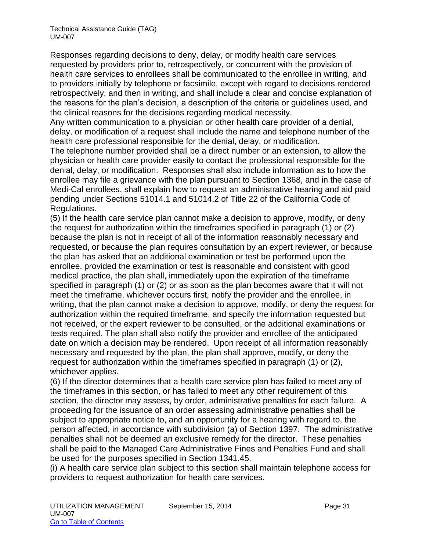Responses regarding decisions to deny, delay, or modify health care services requested by providers prior to, retrospectively, or concurrent with the provision of health care services to enrollees shall be communicated to the enrollee in writing, and to providers initially by telephone or facsimile, except with regard to decisions rendered retrospectively, and then in writing, and shall include a clear and concise explanation of the reasons for the plan's decision, a description of the criteria or guidelines used, and the clinical reasons for the decisions regarding medical necessity.

Any written communication to a physician or other health care provider of a denial, delay, or modification of a request shall include the name and telephone number of the health care professional responsible for the denial, delay, or modification.

The telephone number provided shall be a direct number or an extension, to allow the physician or health care provider easily to contact the professional responsible for the denial, delay, or modification. Responses shall also include information as to how the enrollee may file a grievance with the plan pursuant to Section 1368, and in the case of Medi-Cal enrollees, shall explain how to request an administrative hearing and aid paid pending under Sections 51014.1 and 51014.2 of Title 22 of the California Code of Regulations.

(5) If the health care service plan cannot make a decision to approve, modify, or deny the request for authorization within the timeframes specified in paragraph (1) or (2) because the plan is not in receipt of all of the information reasonably necessary and requested, or because the plan requires consultation by an expert reviewer, or because the plan has asked that an additional examination or test be performed upon the enrollee, provided the examination or test is reasonable and consistent with good medical practice, the plan shall, immediately upon the expiration of the timeframe specified in paragraph (1) or (2) or as soon as the plan becomes aware that it will not meet the timeframe, whichever occurs first, notify the provider and the enrollee, in writing, that the plan cannot make a decision to approve, modify, or deny the request for authorization within the required timeframe, and specify the information requested but not received, or the expert reviewer to be consulted, or the additional examinations or tests required. The plan shall also notify the provider and enrollee of the anticipated date on which a decision may be rendered. Upon receipt of all information reasonably necessary and requested by the plan, the plan shall approve, modify, or deny the request for authorization within the timeframes specified in paragraph (1) or (2), whichever applies.

(6) If the director determines that a health care service plan has failed to meet any of the timeframes in this section, or has failed to meet any other requirement of this section, the director may assess, by order, administrative penalties for each failure. A proceeding for the issuance of an order assessing administrative penalties shall be subject to appropriate notice to, and an opportunity for a hearing with regard to, the person affected, in accordance with subdivision (a) of Section 1397. The administrative penalties shall not be deemed an exclusive remedy for the director. These penalties shall be paid to the Managed Care Administrative Fines and Penalties Fund and shall be used for the purposes specified in Section 1341.45.

(i) A health care service plan subject to this section shall maintain telephone access for providers to request authorization for health care services.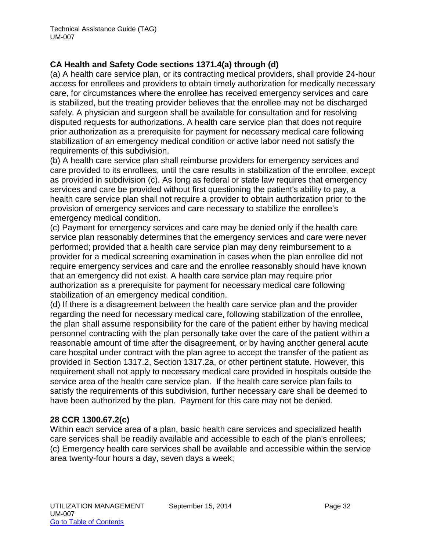# **CA Health and Safety Code sections 1371.4(a) through (d)**

(a) A health care service plan, or its contracting medical providers, shall provide 24-hour access for enrollees and providers to obtain timely authorization for medically necessary care, for circumstances where the enrollee has received emergency services and care is stabilized, but the treating provider believes that the enrollee may not be discharged safely. A physician and surgeon shall be available for consultation and for resolving disputed requests for authorizations. A health care service plan that does not require prior authorization as a prerequisite for payment for necessary medical care following stabilization of an emergency medical condition or active labor need not satisfy the requirements of this subdivision.

(b) A health care service plan shall reimburse providers for emergency services and care provided to its enrollees, until the care results in stabilization of the enrollee, except as provided in subdivision (c). As long as federal or state law requires that emergency services and care be provided without first questioning the patient's ability to pay, a health care service plan shall not require a provider to obtain authorization prior to the provision of emergency services and care necessary to stabilize the enrollee's emergency medical condition.

(c) Payment for emergency services and care may be denied only if the health care service plan reasonably determines that the emergency services and care were never performed; provided that a health care service plan may deny reimbursement to a provider for a medical screening examination in cases when the plan enrollee did not require emergency services and care and the enrollee reasonably should have known that an emergency did not exist. A health care service plan may require prior authorization as a prerequisite for payment for necessary medical care following stabilization of an emergency medical condition.

(d) If there is a disagreement between the health care service plan and the provider regarding the need for necessary medical care, following stabilization of the enrollee, the plan shall assume responsibility for the care of the patient either by having medical personnel contracting with the plan personally take over the care of the patient within a reasonable amount of time after the disagreement, or by having another general acute care hospital under contract with the plan agree to accept the transfer of the patient as provided in Section 1317.2, Section 1317.2a, or other pertinent statute. However, this requirement shall not apply to necessary medical care provided in hospitals outside the service area of the health care service plan. If the health care service plan fails to satisfy the requirements of this subdivision, further necessary care shall be deemed to have been authorized by the plan. Payment for this care may not be denied.

#### **28 CCR 1300.67.2(c)**

Within each service area of a plan, basic health care services and specialized health care services shall be readily available and accessible to each of the plan's enrollees; (c) Emergency health care services shall be available and accessible within the service area twenty-four hours a day, seven days a week;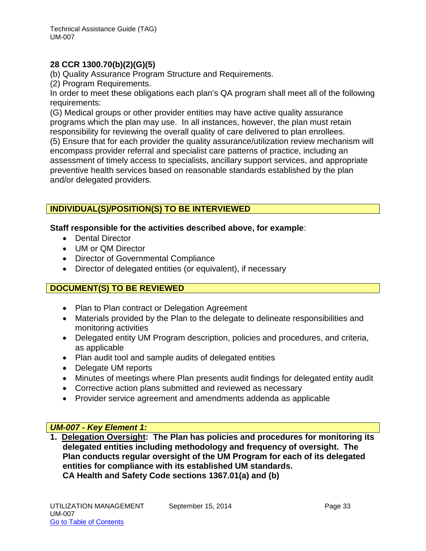# **28 CCR 1300.70(b)(2)(G)(5)**

(b) Quality Assurance Program Structure and Requirements.

(2) Program Requirements.

In order to meet these obligations each plan's QA program shall meet all of the following requirements:

(G) Medical groups or other provider entities may have active quality assurance programs which the plan may use. In all instances, however, the plan must retain responsibility for reviewing the overall quality of care delivered to plan enrollees.

(5) Ensure that for each provider the quality assurance/utilization review mechanism will encompass provider referral and specialist care patterns of practice, including an assessment of timely access to specialists, ancillary support services, and appropriate preventive health services based on reasonable standards established by the plan and/or delegated providers.

# **INDIVIDUAL(S)/POSITION(S) TO BE INTERVIEWED**

#### **Staff responsible for the activities described above, for example**:

- Dental Director
- UM or QM Director
- Director of Governmental Compliance
- Director of delegated entities (or equivalent), if necessary

# **DOCUMENT(S) TO BE REVIEWED**

- Plan to Plan contract or Delegation Agreement
- Materials provided by the Plan to the delegate to delineate responsibilities and monitoring activities
- Delegated entity UM Program description, policies and procedures, and criteria, as applicable
- Plan audit tool and sample audits of delegated entities
- Delegate UM reports
- Minutes of meetings where Plan presents audit findings for delegated entity audit
- Corrective action plans submitted and reviewed as necessary
- Provider service agreement and amendments addenda as applicable

#### *UM-007 - Key Element 1:*

**1. Delegation Oversight: The Plan has policies and procedures for monitoring its delegated entities including methodology and frequency of oversight. The Plan conducts regular oversight of the UM Program for each of its delegated entities for compliance with its established UM standards. CA Health and Safety Code sections 1367.01(a) and (b)**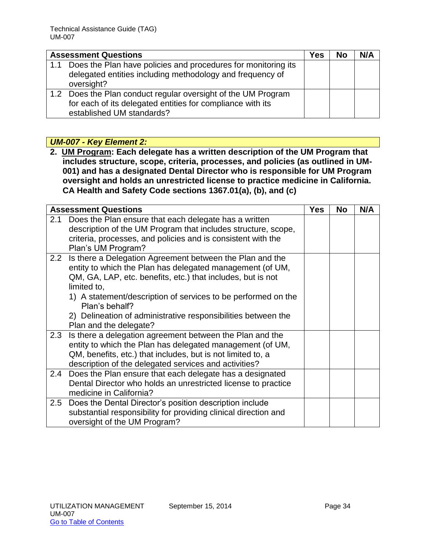|     | <b>Assessment Questions</b>                                   | Yes | <b>No</b> | N/A |
|-----|---------------------------------------------------------------|-----|-----------|-----|
| 1.1 | Does the Plan have policies and procedures for monitoring its |     |           |     |
|     | delegated entities including methodology and frequency of     |     |           |     |
|     | oversight?                                                    |     |           |     |
|     | 1.2 Does the Plan conduct regular oversight of the UM Program |     |           |     |
|     | for each of its delegated entities for compliance with its    |     |           |     |
|     | established UM standards?                                     |     |           |     |

# *UM-007 - Key Element 2:*

**2. UM Program: Each delegate has a written description of the UM Program that includes structure, scope, criteria, processes, and policies (as outlined in UM-001) and has a designated Dental Director who is responsible for UM Program oversight and holds an unrestricted license to practice medicine in California. CA Health and Safety Code sections 1367.01(a), (b), and (c)**

|     | <b>Assessment Questions</b>                                                                                                                                                                                                                                                                                                                                                           | <b>Yes</b> | <b>No</b> | N/A |
|-----|---------------------------------------------------------------------------------------------------------------------------------------------------------------------------------------------------------------------------------------------------------------------------------------------------------------------------------------------------------------------------------------|------------|-----------|-----|
| 2.1 | Does the Plan ensure that each delegate has a written<br>description of the UM Program that includes structure, scope,<br>criteria, processes, and policies and is consistent with the<br>Plan's UM Program?                                                                                                                                                                          |            |           |     |
|     | 2.2 Is there a Delegation Agreement between the Plan and the<br>entity to which the Plan has delegated management (of UM,<br>QM, GA, LAP, etc. benefits, etc.) that includes, but is not<br>limited to,<br>1) A statement/description of services to be performed on the<br>Plan's behalf?<br>2) Delineation of administrative responsibilities between the<br>Plan and the delegate? |            |           |     |
|     | 2.3 Is there a delegation agreement between the Plan and the<br>entity to which the Plan has delegated management (of UM,<br>QM, benefits, etc.) that includes, but is not limited to, a<br>description of the delegated services and activities?                                                                                                                                     |            |           |     |
|     | 2.4 Does the Plan ensure that each delegate has a designated<br>Dental Director who holds an unrestricted license to practice<br>medicine in California?                                                                                                                                                                                                                              |            |           |     |
| 2.5 | Does the Dental Director's position description include<br>substantial responsibility for providing clinical direction and<br>oversight of the UM Program?                                                                                                                                                                                                                            |            |           |     |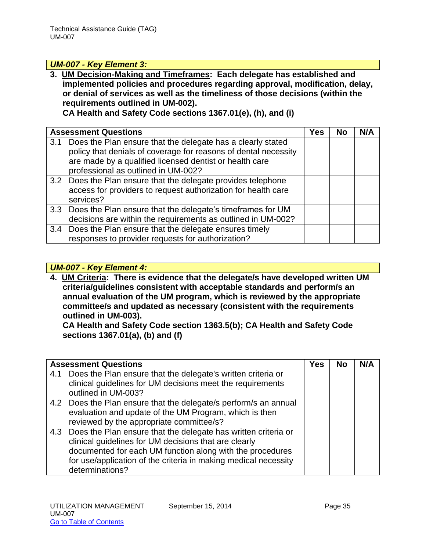## *UM-007 - Key Element 3:*

**3. UM Decision-Making and Timeframes: Each delegate has established and implemented policies and procedures regarding approval, modification, delay, or denial of services as well as the timeliness of those decisions (within the requirements outlined in UM-002). CA Health and Safety Code sections 1367.01(e), (h), and (i)**

|     | <b>Assessment Questions</b>                                                                                                                                                                                                      | Yes | <b>No</b> | N/A |
|-----|----------------------------------------------------------------------------------------------------------------------------------------------------------------------------------------------------------------------------------|-----|-----------|-----|
| 3.1 | Does the Plan ensure that the delegate has a clearly stated<br>policy that denials of coverage for reasons of dental necessity<br>are made by a qualified licensed dentist or health care<br>professional as outlined in UM-002? |     |           |     |
|     | 3.2 Does the Plan ensure that the delegate provides telephone<br>access for providers to request authorization for health care<br>services?                                                                                      |     |           |     |
|     | 3.3 Does the Plan ensure that the delegate's timeframes for UM<br>decisions are within the requirements as outlined in UM-002?                                                                                                   |     |           |     |
|     | 3.4 Does the Plan ensure that the delegate ensures timely<br>responses to provider requests for authorization?                                                                                                                   |     |           |     |

# *UM-007 - Key Element 4:*

**4. UM Criteria: There is evidence that the delegate/s have developed written UM criteria/guidelines consistent with acceptable standards and perform/s an annual evaluation of the UM program, which is reviewed by the appropriate committee/s and updated as necessary (consistent with the requirements outlined in UM-003).** 

**CA Health and Safety Code section 1363.5(b); CA Health and Safety Code sections 1367.01(a), (b) and (f)**

|     | <b>Assessment Questions</b>                                                                                                                                                                                                                                                    | Yes | <b>No</b> | N/A |
|-----|--------------------------------------------------------------------------------------------------------------------------------------------------------------------------------------------------------------------------------------------------------------------------------|-----|-----------|-----|
| 4.1 | Does the Plan ensure that the delegate's written criteria or<br>clinical guidelines for UM decisions meet the requirements                                                                                                                                                     |     |           |     |
|     | outlined in UM-003?                                                                                                                                                                                                                                                            |     |           |     |
|     | 4.2 Does the Plan ensure that the delegate/s perform/s an annual<br>evaluation and update of the UM Program, which is then<br>reviewed by the appropriate committee/s?                                                                                                         |     |           |     |
|     | 4.3 Does the Plan ensure that the delegate has written criteria or<br>clinical guidelines for UM decisions that are clearly<br>documented for each UM function along with the procedures<br>for use/application of the criteria in making medical necessity<br>determinations? |     |           |     |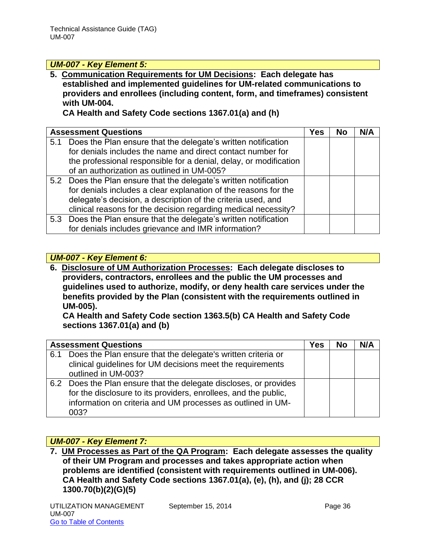# *UM-007 - Key Element 5:*

**5. Communication Requirements for UM Decisions: Each delegate has established and implemented guidelines for UM-related communications to providers and enrollees (including content, form, and timeframes) consistent with UM-004.** 

**CA Health and Safety Code sections 1367.01(a) and (h)**

| <b>Assessment Questions</b>                                       | Yes | <b>No</b> | N/A |
|-------------------------------------------------------------------|-----|-----------|-----|
| 5.1 Does the Plan ensure that the delegate's written notification |     |           |     |
| for denials includes the name and direct contact number for       |     |           |     |
| the professional responsible for a denial, delay, or modification |     |           |     |
| of an authorization as outlined in UM-005?                        |     |           |     |
| 5.2 Does the Plan ensure that the delegate's written notification |     |           |     |
| for denials includes a clear explanation of the reasons for the   |     |           |     |
| delegate's decision, a description of the criteria used, and      |     |           |     |
| clinical reasons for the decision regarding medical necessity?    |     |           |     |
| 5.3 Does the Plan ensure that the delegate's written notification |     |           |     |
| for denials includes grievance and IMR information?               |     |           |     |

# *UM-007 - Key Element 6:*

**6. Disclosure of UM Authorization Processes: Each delegate discloses to providers, contractors, enrollees and the public the UM processes and guidelines used to authorize, modify, or deny health care services under the benefits provided by the Plan (consistent with the requirements outlined in UM-005).** 

**CA Health and Safety Code section 1363.5(b) CA Health and Safety Code sections 1367.01(a) and (b)**

|     | <b>Assessment Questions</b>                                                                                                                                                                                 |  | <b>No</b> | N/A |
|-----|-------------------------------------------------------------------------------------------------------------------------------------------------------------------------------------------------------------|--|-----------|-----|
| 6.1 | Does the Plan ensure that the delegate's written criteria or<br>clinical guidelines for UM decisions meet the requirements<br>outlined in UM-003?                                                           |  |           |     |
|     | 6.2 Does the Plan ensure that the delegate discloses, or provides<br>for the disclosure to its providers, enrollees, and the public,<br>information on criteria and UM processes as outlined in UM-<br>003? |  |           |     |

# *UM-007 - Key Element 7:*

**7. UM Processes as Part of the QA Program: Each delegate assesses the quality of their UM Program and processes and takes appropriate action when problems are identified (consistent with requirements outlined in UM-006). CA Health and Safety Code sections 1367.01(a), (e), (h), and (j); 28 CCR 1300.70(b)(2)(G)(5)**